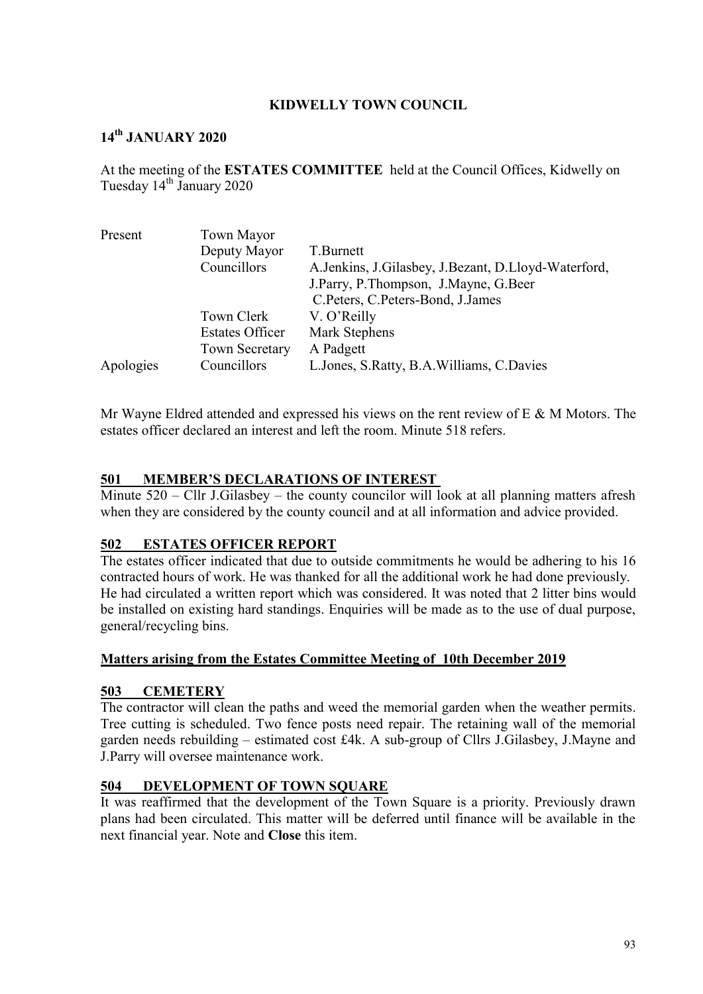#### **14 th JANUARY 2020**

At the meeting of the **ESTATES COMMITTEE** held at the Council Offices, Kidwelly on Tuesday 14<sup>th</sup> January 2020

| Present   | Town Mayor             |                                                         |
|-----------|------------------------|---------------------------------------------------------|
|           | Deputy Mayor           | T.Burnett                                               |
|           | Councillors            | A. Jenkins, J. Gilasbey, J. Bezant, D. Lloyd-Waterford, |
|           |                        | J.Parry, P.Thompson, J.Mayne, G.Beer                    |
|           |                        | C.Peters, C.Peters-Bond, J.James                        |
|           | Town Clerk             | V. O'Reilly                                             |
|           | <b>Estates Officer</b> | Mark Stephens                                           |
|           | <b>Town Secretary</b>  | A Padgett                                               |
| Apologies | Councillors            | L.Jones, S.Ratty, B.A.Williams, C.Davies                |
|           |                        |                                                         |

Mr Wayne Eldred attended and expressed his views on the rent review of  $E \& M$  Motors. The estates officer declared an interest and left the room. Minute 518 refers.

#### **501 MEMBER'S DECLARATIONS OF INTEREST**

Minute 520 – Cllr J.Gilasbey – the county councilor will look at all planning matters afresh when they are considered by the county council and at all information and advice provided.

#### **502 ESTATES OFFICER REPORT**

The estates officer indicated that due to outside commitments he would be adhering to his 16 contracted hours of work. He was thanked for all the additional work he had done previously. He had circulated a written report which was considered. It was noted that 2 litter bins would be installed on existing hard standings. Enquiries will be made as to the use of dual purpose, general/recycling bins.

#### **Matters arising from the Estates Committee Meeting of 10th December 2019**

#### **503 CEMETERY**

The contractor will clean the paths and weed the memorial garden when the weather permits. Tree cutting is scheduled. Two fence posts need repair. The retaining wall of the memorial garden needs rebuilding – estimated cost £4k. A sub-group of Cllrs J.Gilasbey, J.Mayne and J.Parry will oversee maintenance work.

#### **504 DEVELOPMENT OF TOWN SQUARE**

It was reaffirmed that the development of the Town Square is a priority. Previously drawn plans had been circulated. This matter will be deferred until finance will be available in the next financial year. Note and **Close** this item.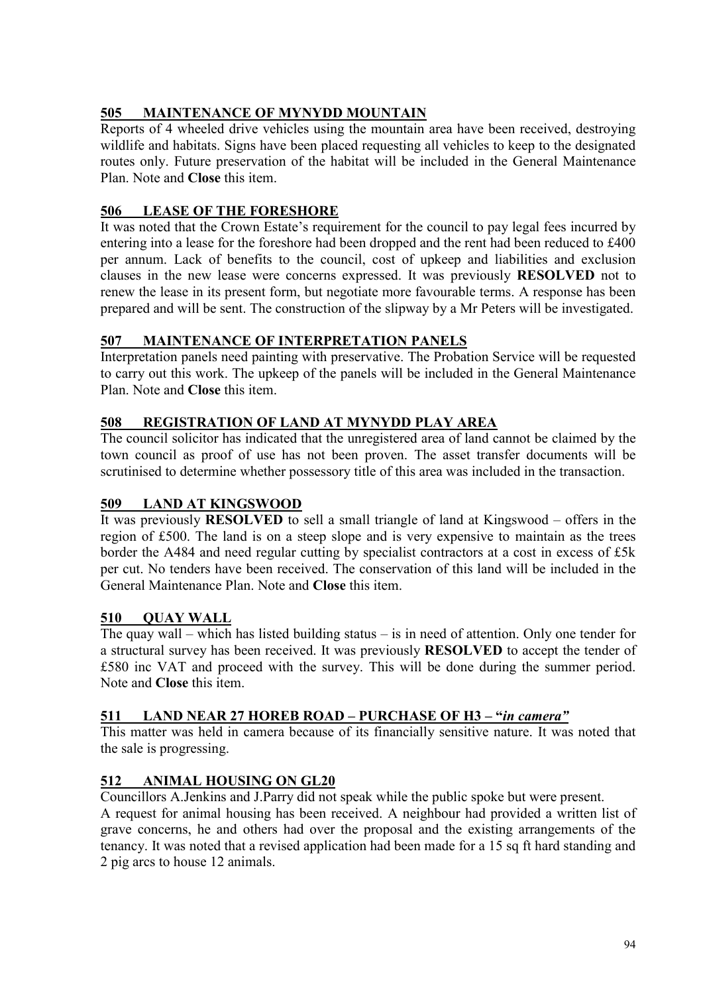### **505 MAINTENANCE OF MYNYDD MOUNTAIN**

Reports of 4 wheeled drive vehicles using the mountain area have been received, destroying wildlife and habitats. Signs have been placed requesting all vehicles to keep to the designated routes only. Future preservation of the habitat will be included in the General Maintenance Plan. Note and **Close** this item.

## **506 LEASE OF THE FORESHORE**

It was noted that the Crown Estate's requirement for the council to pay legal fees incurred by entering into a lease for the foreshore had been dropped and the rent had been reduced to £400 per annum. Lack of benefits to the council, cost of upkeep and liabilities and exclusion clauses in the new lease were concerns expressed. It was previously **RESOLVED** not to renew the lease in its present form, but negotiate more favourable terms. A response has been prepared and will be sent. The construction of the slipway by a Mr Peters will be investigated.

### **507 MAINTENANCE OF INTERPRETATION PANELS**

Interpretation panels need painting with preservative. The Probation Service will be requested to carry out this work. The upkeep of the panels will be included in the General Maintenance Plan. Note and **Close** this item.

#### **508 REGISTRATION OF LAND AT MYNYDD PLAY AREA**

The council solicitor has indicated that the unregistered area of land cannot be claimed by the town council as proof of use has not been proven. The asset transfer documents will be scrutinised to determine whether possessory title of this area was included in the transaction.

### **509 LAND AT KINGSWOOD**

It was previously **RESOLVED** to sell a small triangle of land at Kingswood – offers in the region of £500. The land is on a steep slope and is very expensive to maintain as the trees border the A484 and need regular cutting by specialist contractors at a cost in excess of £5k per cut. No tenders have been received. The conservation of this land will be included in the General Maintenance Plan. Note and **Close** this item.

### **510 QUAY WALL**

The quay wall – which has listed building status – is in need of attention. Only one tender for a structural survey has been received. It was previously **RESOLVED** to accept the tender of £580 inc VAT and proceed with the survey. This will be done during the summer period. Note and **Close** this item.

### **511 LAND NEAR 27 HOREB ROAD – PURCHASE OF H3 – "***in camera"*

This matter was held in camera because of its financially sensitive nature. It was noted that the sale is progressing.

### **512 ANIMAL HOUSING ON GL20**

Councillors A.Jenkins and J.Parry did not speak while the public spoke but were present.

A request for animal housing has been received. A neighbour had provided a written list of grave concerns, he and others had over the proposal and the existing arrangements of the tenancy. It was noted that a revised application had been made for a 15 sq ft hard standing and 2 pig arcs to house 12 animals.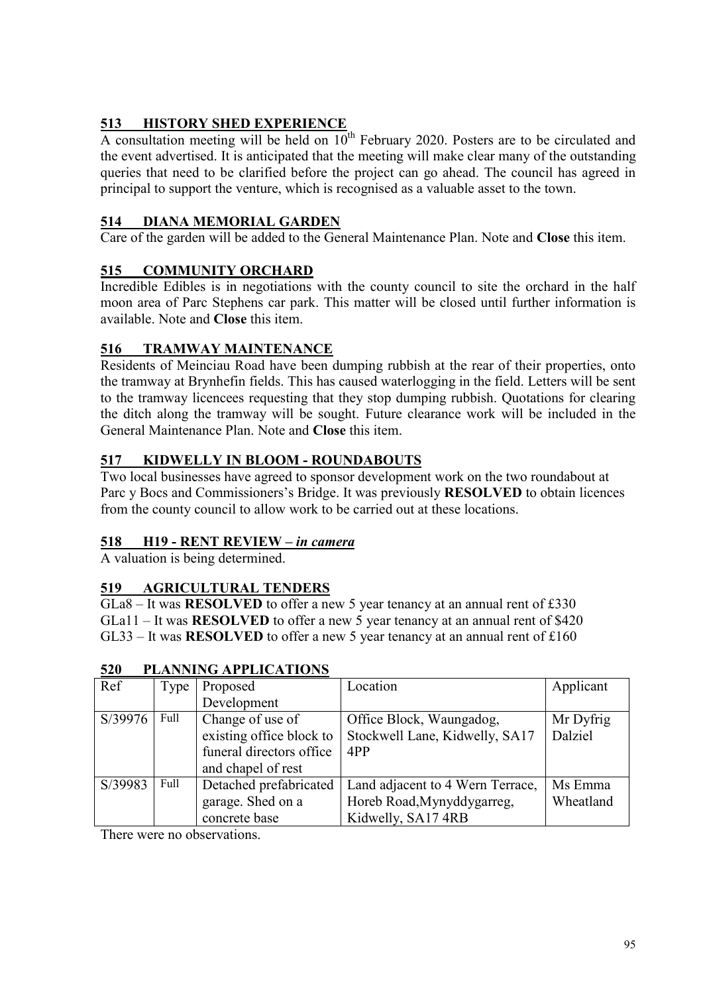# **513 HISTORY SHED EXPERIENCE**

A consultation meeting will be held on  $10<sup>th</sup>$  February 2020. Posters are to be circulated and the event advertised. It is anticipated that the meeting will make clear many of the outstanding queries that need to be clarified before the project can go ahead. The council has agreed in principal to support the venture, which is recognised as a valuable asset to the town.

### **514 DIANA MEMORIAL GARDEN**

Care of the garden will be added to the General Maintenance Plan. Note and **Close** this item.

## **515 COMMUNITY ORCHARD**

Incredible Edibles is in negotiations with the county council to site the orchard in the half moon area of Parc Stephens car park. This matter will be closed until further information is available. Note and **Close** this item.

### **516 TRAMWAY MAINTENANCE**

Residents of Meinciau Road have been dumping rubbish at the rear of their properties, onto the tramway at Brynhefin fields. This has caused waterlogging in the field. Letters will be sent to the tramway licencees requesting that they stop dumping rubbish. Quotations for clearing the ditch along the tramway will be sought. Future clearance work will be included in the General Maintenance Plan. Note and **Close** this item.

## **517 KIDWELLY IN BLOOM - ROUNDABOUTS**

Two local businesses have agreed to sponsor development work on the two roundabout at Parc y Bocs and Commissioners's Bridge. It was previously **RESOLVED** to obtain licences from the county council to allow work to be carried out at these locations.

### **518 H19 - RENT REVIEW** *– in camera*

A valuation is being determined.

### **519 AGRICULTURAL TENDERS**

GLa8 – It was **RESOLVED** to offer a new 5 year tenancy at an annual rent of £330 GLa11 – It was **RESOLVED** to offer a new 5 year tenancy at an annual rent of \$420 GL33 – It was **RESOLVED** to offer a new 5 year tenancy at an annual rent of £160

| Ref     | Type | Proposed                 | Location                         | Applicant |
|---------|------|--------------------------|----------------------------------|-----------|
|         |      | Development              |                                  |           |
| S/39976 | Full | Change of use of         | Office Block, Waungadog,         | Mr Dyfrig |
|         |      | existing office block to | Stockwell Lane, Kidwelly, SA17   | Dalziel   |
|         |      | funeral directors office | 4PP                              |           |
|         |      | and chapel of rest       |                                  |           |
| S/39983 | Full | Detached prefabricated   | Land adjacent to 4 Wern Terrace, | Ms Emma   |
|         |      | garage. Shed on a        | Horeb Road, Mynyddygarreg,       | Wheatland |
|         |      | concrete base            | Kidwelly, SA17 4RB               |           |

### **520 PLANNING APPLICATIONS**

There were no observations.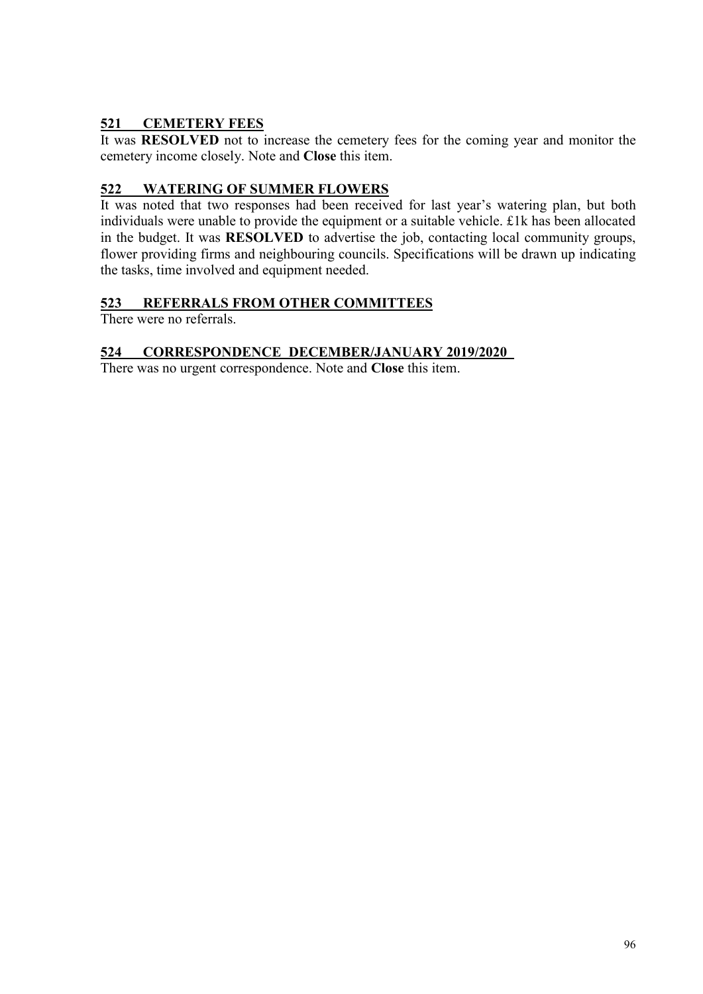## **521 CEMETERY FEES**

It was **RESOLVED** not to increase the cemetery fees for the coming year and monitor the cemetery income closely. Note and **Close** this item.

## **522 WATERING OF SUMMER FLOWERS**

It was noted that two responses had been received for last year's watering plan, but both individuals were unable to provide the equipment or a suitable vehicle. £1k has been allocated in the budget. It was **RESOLVED** to advertise the job, contacting local community groups, flower providing firms and neighbouring councils. Specifications will be drawn up indicating the tasks, time involved and equipment needed.

#### **523 REFERRALS FROM OTHER COMMITTEES**

There were no referrals.

#### **524 CORRESPONDENCE DECEMBER/JANUARY 2019/2020**

There was no urgent correspondence. Note and **Close** this item.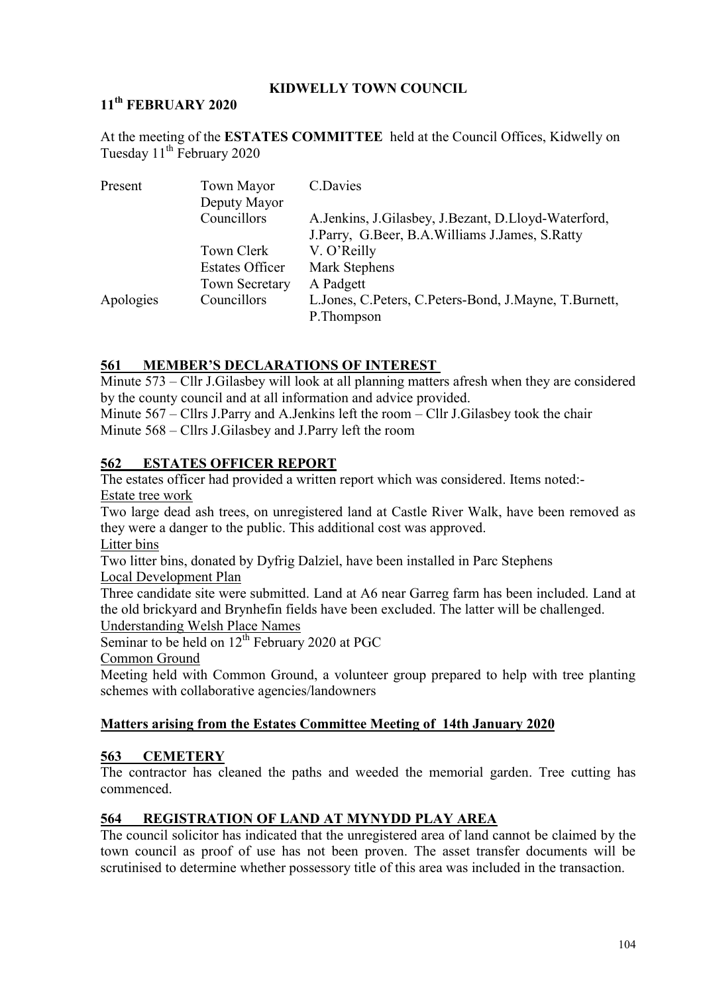### **11 th FEBRUARY 2020**

At the meeting of the **ESTATES COMMITTEE** held at the Council Offices, Kidwelly on Tuesday 11<sup>th</sup> February 2020

| Present   | <b>Town Mayor</b><br>Deputy Mayor | C.Davies                                                |
|-----------|-----------------------------------|---------------------------------------------------------|
|           | Councillors                       | A. Jenkins, J. Gilasbey, J. Bezant, D. Lloyd-Waterford, |
|           |                                   | J.Parry, G.Beer, B.A.Williams J.James, S.Ratty          |
|           | Town Clerk                        | V. O'Reilly                                             |
|           | <b>Estates Officer</b>            | Mark Stephens                                           |
|           | <b>Town Secretary</b>             | A Padgett                                               |
| Apologies | Councillors                       | L.Jones, C.Peters, C.Peters-Bond, J.Mayne, T.Burnett,   |
|           |                                   | P.Thompson                                              |

#### **561 MEMBER'S DECLARATIONS OF INTEREST**

Minute 573 – Cllr J.Gilasbey will look at all planning matters afresh when they are considered by the county council and at all information and advice provided.

Minute 567 – Cllrs J.Parry and A.Jenkins left the room – Cllr J.Gilasbey took the chair Minute 568 – Cllrs J.Gilasbey and J.Parry left the room

#### **562 ESTATES OFFICER REPORT**

The estates officer had provided a written report which was considered. Items noted:- Estate tree work

Two large dead ash trees, on unregistered land at Castle River Walk, have been removed as they were a danger to the public. This additional cost was approved.

Litter bins

Two litter bins, donated by Dyfrig Dalziel, have been installed in Parc Stephens Local Development Plan

Three candidate site were submitted. Land at A6 near Garreg farm has been included. Land at the old brickyard and Brynhefin fields have been excluded. The latter will be challenged. Understanding Welsh Place Names

Seminar to be held on  $12<sup>th</sup>$  February 2020 at PGC Common Ground

Meeting held with Common Ground, a volunteer group prepared to help with tree planting schemes with collaborative agencies/landowners

#### **Matters arising from the Estates Committee Meeting of 14th January 2020**

#### **563 CEMETERY**

The contractor has cleaned the paths and weeded the memorial garden. Tree cutting has commenced.

#### **564 REGISTRATION OF LAND AT MYNYDD PLAY AREA**

The council solicitor has indicated that the unregistered area of land cannot be claimed by the town council as proof of use has not been proven. The asset transfer documents will be scrutinised to determine whether possessory title of this area was included in the transaction.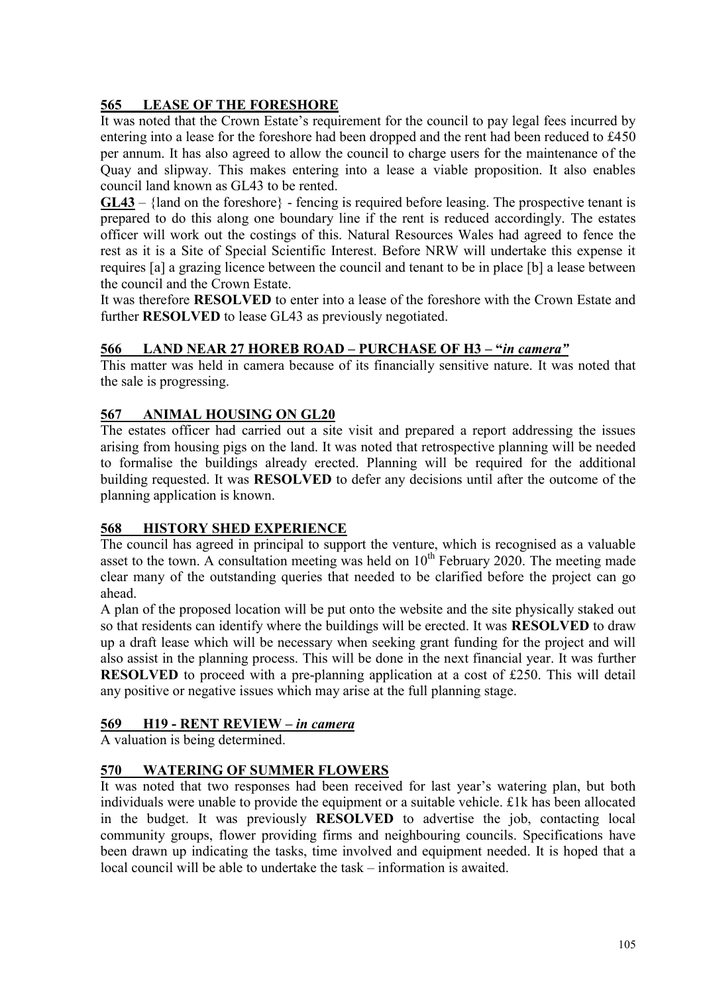# **565 LEASE OF THE FORESHORE**

It was noted that the Crown Estate's requirement for the council to pay legal fees incurred by entering into a lease for the foreshore had been dropped and the rent had been reduced to £450 per annum. It has also agreed to allow the council to charge users for the maintenance of the Quay and slipway. This makes entering into a lease a viable proposition. It also enables council land known as GL43 to be rented.

**GL43** – {land on the foreshore} - fencing is required before leasing. The prospective tenant is prepared to do this along one boundary line if the rent is reduced accordingly. The estates officer will work out the costings of this. Natural Resources Wales had agreed to fence the rest as it is a Site of Special Scientific Interest. Before NRW will undertake this expense it requires [a] a grazing licence between the council and tenant to be in place [b] a lease between the council and the Crown Estate.

It was therefore **RESOLVED** to enter into a lease of the foreshore with the Crown Estate and further **RESOLVED** to lease GL43 as previously negotiated.

#### **566 LAND NEAR 27 HOREB ROAD – PURCHASE OF H3 – "***in camera"*

This matter was held in camera because of its financially sensitive nature. It was noted that the sale is progressing.

#### **567 ANIMAL HOUSING ON GL20**

The estates officer had carried out a site visit and prepared a report addressing the issues arising from housing pigs on the land. It was noted that retrospective planning will be needed to formalise the buildings already erected. Planning will be required for the additional building requested. It was **RESOLVED** to defer any decisions until after the outcome of the planning application is known.

#### **568 HISTORY SHED EXPERIENCE**

The council has agreed in principal to support the venture, which is recognised as a valuable asset to the town. A consultation meeting was held on  $10^{th}$  February 2020. The meeting made clear many of the outstanding queries that needed to be clarified before the project can go ahead.

A plan of the proposed location will be put onto the website and the site physically staked out so that residents can identify where the buildings will be erected. It was **RESOLVED** to draw up a draft lease which will be necessary when seeking grant funding for the project and will also assist in the planning process. This will be done in the next financial year. It was further **RESOLVED** to proceed with a pre-planning application at a cost of £250. This will detail any positive or negative issues which may arise at the full planning stage.

#### **569 H19 - RENT REVIEW** *– in camera*

A valuation is being determined.

#### **570 WATERING OF SUMMER FLOWERS**

It was noted that two responses had been received for last year's watering plan, but both individuals were unable to provide the equipment or a suitable vehicle. £1k has been allocated in the budget. It was previously **RESOLVED** to advertise the job, contacting local community groups, flower providing firms and neighbouring councils. Specifications have been drawn up indicating the tasks, time involved and equipment needed. It is hoped that a local council will be able to undertake the task – information is awaited.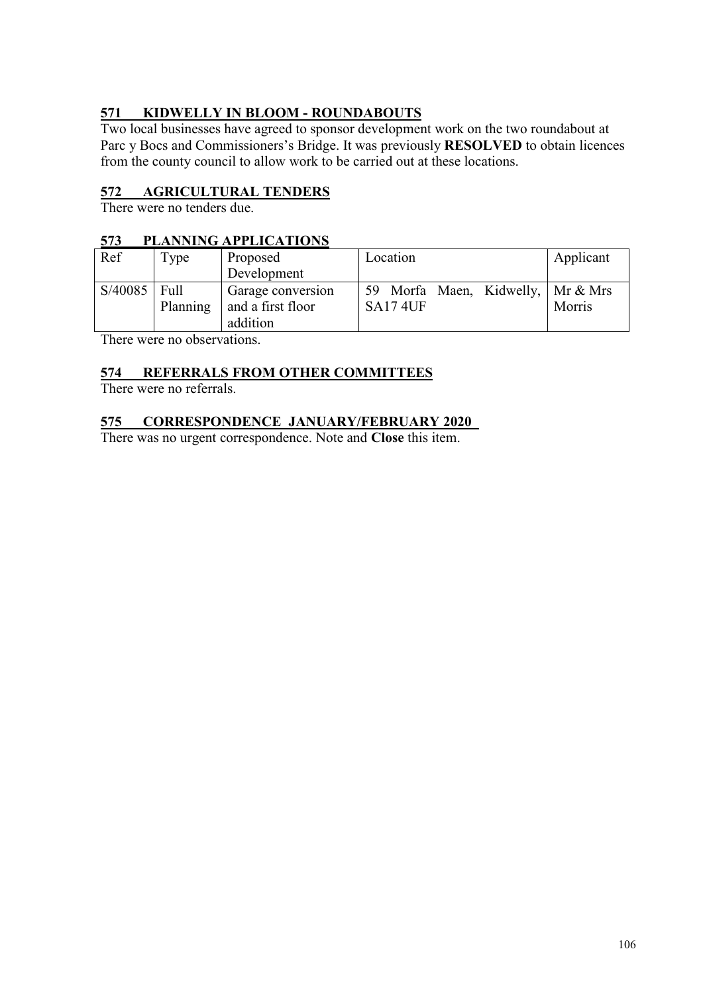### **571 KIDWELLY IN BLOOM - ROUNDABOUTS**

Two local businesses have agreed to sponsor development work on the two roundabout at Parc y Bocs and Commissioners's Bridge. It was previously **RESOLVED** to obtain licences from the county council to allow work to be carried out at these locations.

### **572 AGRICULTURAL TENDERS**

There were no tenders due.

#### **573 PLANNING APPLICATIONS**

| Ref     | Type             | Proposed                                           | Location                                             | Applicant |
|---------|------------------|----------------------------------------------------|------------------------------------------------------|-----------|
|         |                  | Development                                        |                                                      |           |
| S/40085 | Full<br>Planning | Garage conversion<br>and a first floor<br>addition | 59 Morfa Maen, Kidwelly, Mr & Mrs<br><b>SA17 4UF</b> | Morris    |

There were no observations.

### **574 REFERRALS FROM OTHER COMMITTEES**

There were no referrals.

#### **575 CORRESPONDENCE JANUARY/FEBRUARY 2020**

There was no urgent correspondence. Note and **Close** this item.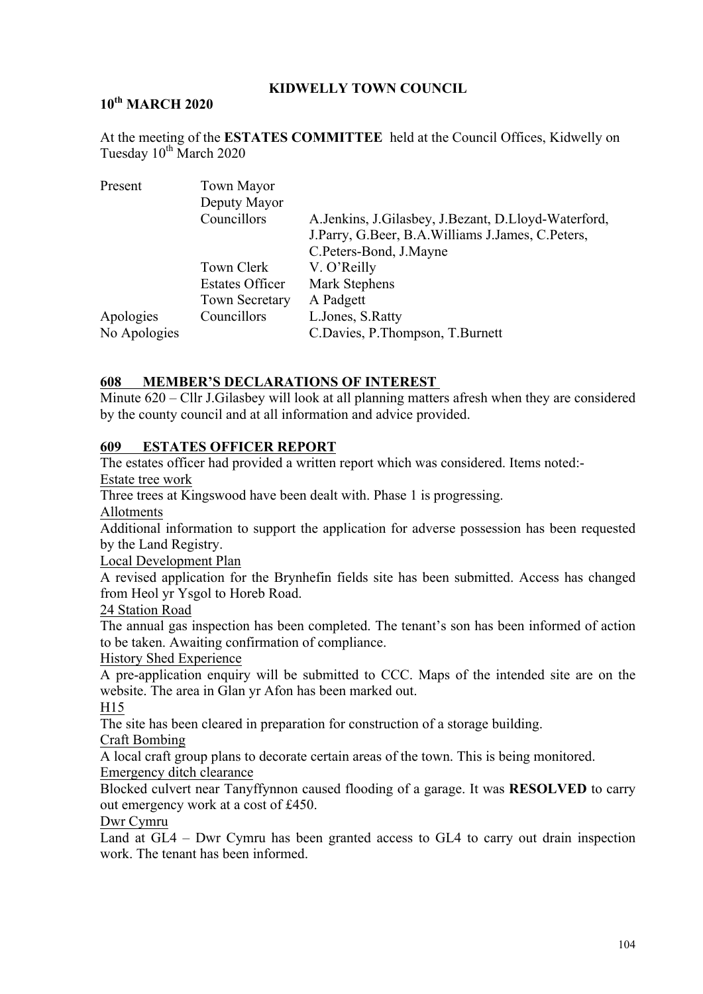#### **10th MARCH 2020**

At the meeting of the **ESTATES COMMITTEE** held at the Council Offices, Kidwelly on Tuesday  $10^{th}$  March 2020

| Present      | Town Mayor             |                                                         |
|--------------|------------------------|---------------------------------------------------------|
|              | Deputy Mayor           |                                                         |
|              | Councillors            | A. Jenkins, J. Gilasbey, J. Bezant, D. Lloyd-Waterford, |
|              |                        | J.Parry, G.Beer, B.A.Williams J.James, C.Peters,        |
|              |                        | C.Peters-Bond, J.Mayne                                  |
|              | Town Clerk             | V. O'Reilly                                             |
|              | <b>Estates Officer</b> | Mark Stephens                                           |
|              | <b>Town Secretary</b>  | A Padgett                                               |
| Apologies    | Councillors            | L.Jones, S.Ratty                                        |
| No Apologies |                        | C.Davies, P.Thompson, T.Burnett                         |

#### **608 MEMBER'S DECLARATIONS OF INTEREST**

Minute 620 – Cllr J.Gilasbey will look at all planning matters afresh when they are considered by the county council and at all information and advice provided.

#### **ESTATES OFFICER REPORT**

The estates officer had provided a written report which was considered. Items noted:- Estate tree work

Three trees at Kingswood have been dealt with. Phase 1 is progressing.

Allotments

Additional information to support the application for adverse possession has been requested by the Land Registry.

Local Development Plan

A revised application for the Brynhefin fields site has been submitted. Access has changed from Heol yr Ysgol to Horeb Road.

24 Station Road

The annual gas inspection has been completed. The tenant's son has been informed of action to be taken. Awaiting confirmation of compliance.

History Shed Experience

A pre-application enquiry will be submitted to CCC. Maps of the intended site are on the website. The area in Glan yr Afon has been marked out.

H15

The site has been cleared in preparation for construction of a storage building.

Craft Bombing

A local craft group plans to decorate certain areas of the town. This is being monitored. Emergency ditch clearance

Blocked culvert near Tanyffynnon caused flooding of a garage. It was **RESOLVED** to carry out emergency work at a cost of £450.

Dwr Cymru

Land at GL4 – Dwr Cymru has been granted access to GL4 to carry out drain inspection work. The tenant has been informed.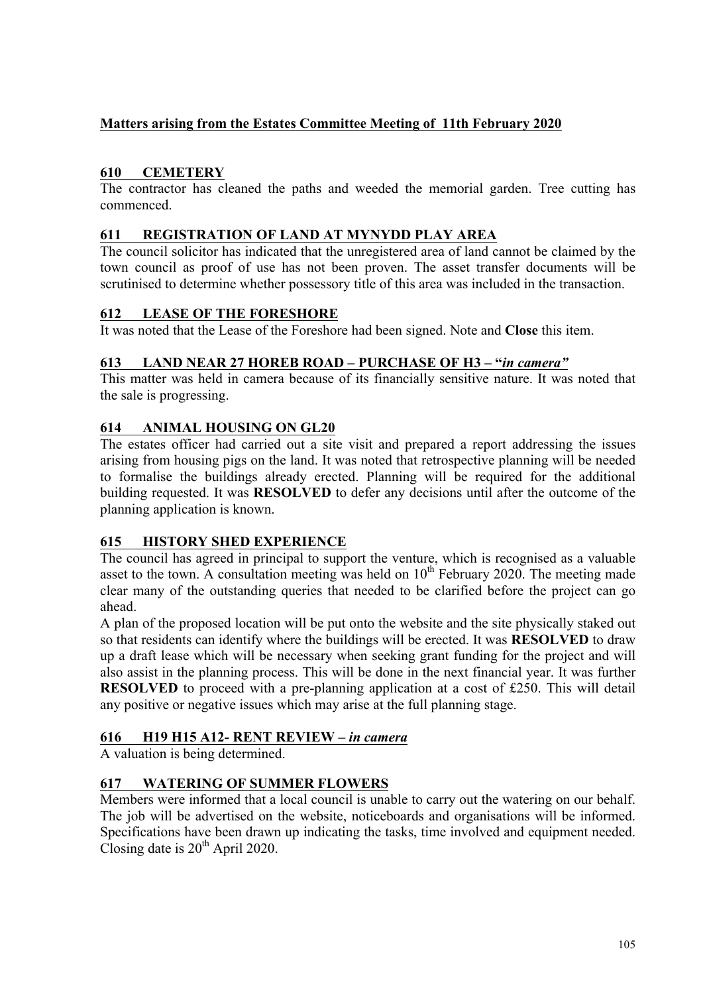### **Matters arising from the Estates Committee Meeting of 11th February 2020**

#### **610 CEMETERY**

The contractor has cleaned the paths and weeded the memorial garden. Tree cutting has commenced.

#### **611 REGISTRATION OF LAND AT MYNYDD PLAY AREA**

The council solicitor has indicated that the unregistered area of land cannot be claimed by the town council as proof of use has not been proven. The asset transfer documents will be scrutinised to determine whether possessory title of this area was included in the transaction.

#### **612 LEASE OF THE FORESHORE**

It was noted that the Lease of the Foreshore had been signed. Note and **Close** this item.

#### **613 LAND NEAR 27 HOREB ROAD – PURCHASE OF H3 – "***in camera"*

This matter was held in camera because of its financially sensitive nature. It was noted that the sale is progressing.

#### **614 ANIMAL HOUSING ON GL20**

The estates officer had carried out a site visit and prepared a report addressing the issues arising from housing pigs on the land. It was noted that retrospective planning will be needed to formalise the buildings already erected. Planning will be required for the additional building requested. It was **RESOLVED** to defer any decisions until after the outcome of the planning application is known.

#### **615 HISTORY SHED EXPERIENCE**

The council has agreed in principal to support the venture, which is recognised as a valuable asset to the town. A consultation meeting was held on  $10<sup>th</sup>$  February 2020. The meeting made clear many of the outstanding queries that needed to be clarified before the project can go ahead.

A plan of the proposed location will be put onto the website and the site physically staked out so that residents can identify where the buildings will be erected. It was **RESOLVED** to draw up a draft lease which will be necessary when seeking grant funding for the project and will also assist in the planning process. This will be done in the next financial year. It was further **RESOLVED** to proceed with a pre-planning application at a cost of £250. This will detail any positive or negative issues which may arise at the full planning stage.

#### **616 H19 H15 A12- RENT REVIEW** *– in camera*

A valuation is being determined.

#### **617 WATERING OF SUMMER FLOWERS**

Members were informed that a local council is unable to carry out the watering on our behalf. The job will be advertised on the website, noticeboards and organisations will be informed. Specifications have been drawn up indicating the tasks, time involved and equipment needed. Closing date is  $20^{th}$  April 2020.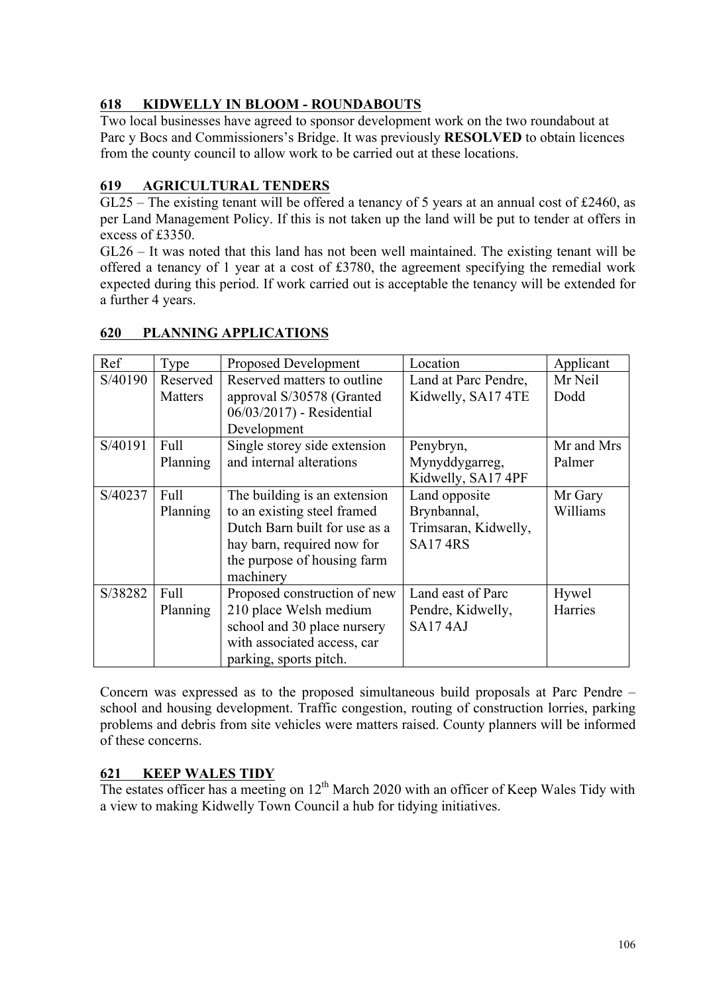### **618 KIDWELLY IN BLOOM - ROUNDABOUTS**

Two local businesses have agreed to sponsor development work on the two roundabout at Parc y Bocs and Commissioners's Bridge. It was previously **RESOLVED** to obtain licences from the county council to allow work to be carried out at these locations.

## **619 AGRICULTURAL TENDERS**

GL25 – The existing tenant will be offered a tenancy of 5 years at an annual cost of £2460, as per Land Management Policy. If this is not taken up the land will be put to tender at offers in excess of £3350.

GL26 – It was noted that this land has not been well maintained. The existing tenant will be offered a tenancy of 1 year at a cost of £3780, the agreement specifying the remedial work expected during this period. If work carried out is acceptable the tenancy will be extended for a further 4 years.

| Ref     | Type     | <b>Proposed Development</b>   | Location             | Applicant  |
|---------|----------|-------------------------------|----------------------|------------|
| S/40190 | Reserved | Reserved matters to outline   | Land at Parc Pendre, | Mr Neil    |
|         | Matters  | approval S/30578 (Granted     | Kidwelly, SA17 4TE   | Dodd       |
|         |          | 06/03/2017) - Residential     |                      |            |
|         |          | Development                   |                      |            |
| S/40191 | Full     | Single storey side extension  | Penybryn,            | Mr and Mrs |
|         | Planning | and internal alterations      | Mynyddygarreg,       | Palmer     |
|         |          |                               | Kidwelly, SA17 4PF   |            |
| S/40237 | Full     | The building is an extension  | Land opposite        | Mr Gary    |
|         | Planning | to an existing steel framed   | Brynbannal,          | Williams   |
|         |          | Dutch Barn built for use as a | Trimsaran, Kidwelly, |            |
|         |          | hay barn, required now for    | <b>SA174RS</b>       |            |
|         |          | the purpose of housing farm   |                      |            |
|         |          | machinery                     |                      |            |
| S/38282 | Full     | Proposed construction of new  | Land east of Parc    | Hywel      |
|         | Planning | 210 place Welsh medium        | Pendre, Kidwelly,    | Harries    |
|         |          | school and 30 place nursery   | <b>SA174AJ</b>       |            |
|         |          | with associated access, car   |                      |            |
|         |          | parking, sports pitch.        |                      |            |

#### **620 PLANNING APPLICATIONS**

Concern was expressed as to the proposed simultaneous build proposals at Parc Pendre – school and housing development. Traffic congestion, routing of construction lorries, parking problems and debris from site vehicles were matters raised. County planners will be informed of these concerns.

#### **621 KEEP WALES TIDY**

The estates officer has a meeting on  $12<sup>th</sup>$  March 2020 with an officer of Keep Wales Tidy with a view to making Kidwelly Town Council a hub for tidying initiatives.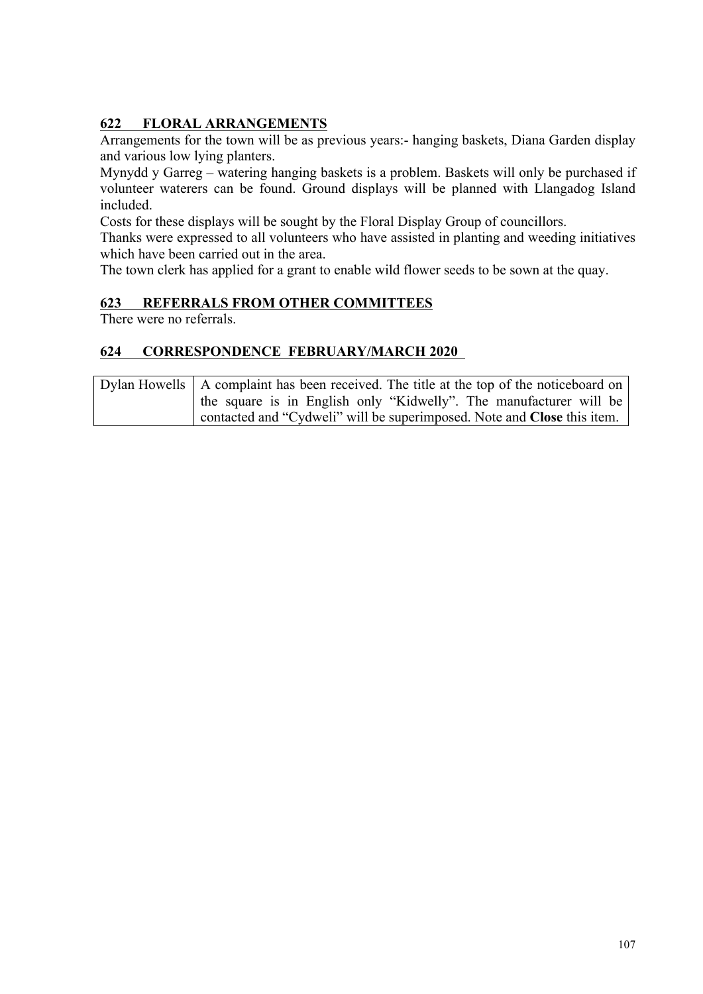## **622 FLORAL ARRANGEMENTS**

Arrangements for the town will be as previous years:- hanging baskets, Diana Garden display and various low lying planters.

Mynydd y Garreg – watering hanging baskets is a problem. Baskets will only be purchased if volunteer waterers can be found. Ground displays will be planned with Llangadog Island included.

Costs for these displays will be sought by the Floral Display Group of councillors.

Thanks were expressed to all volunteers who have assisted in planting and weeding initiatives which have been carried out in the area.

The town clerk has applied for a grant to enable wild flower seeds to be sown at the quay.

#### **623 REFERRALS FROM OTHER COMMITTEES**

There were no referrals.

#### **624 CORRESPONDENCE FEBRUARY/MARCH 2020**

| Dylan Howells   A complaint has been received. The title at the top of the noticeboard on |
|-------------------------------------------------------------------------------------------|
| the square is in English only "Kidwelly". The manufacturer will be                        |
| contacted and "Cydweli" will be superimposed. Note and <b>Close</b> this item.            |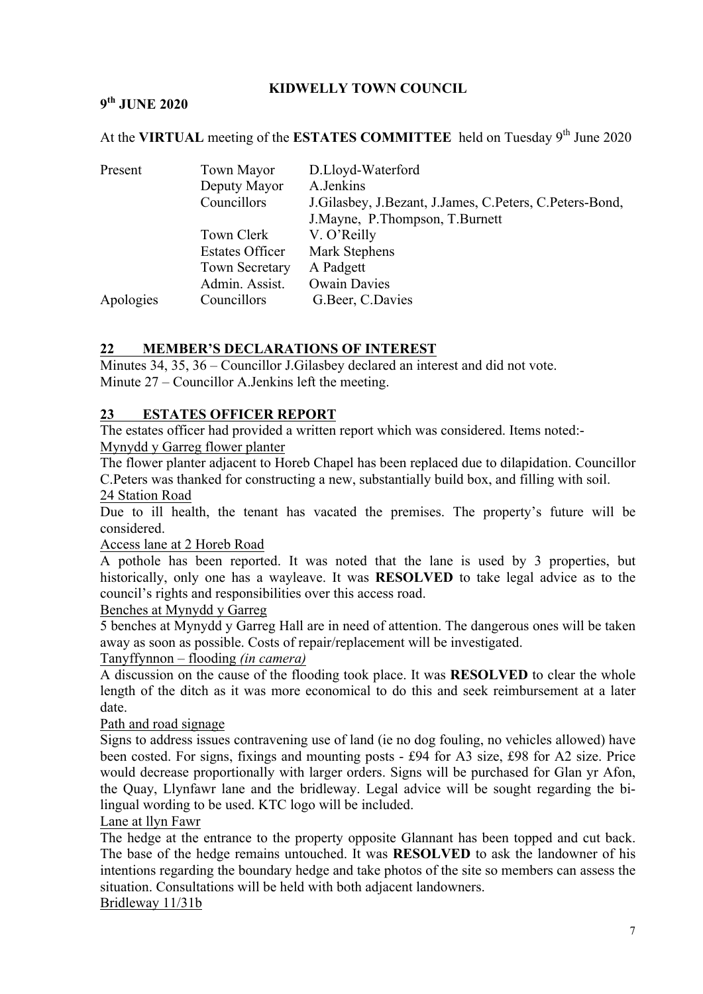#### **9th JUNE 2020**

At the **VIRTUAL** meeting of the **ESTATES COMMITTEE** held on Tuesday 9<sup>th</sup> June 2020

| Present   | Town Mayor             | D.Lloyd-Waterford                                       |
|-----------|------------------------|---------------------------------------------------------|
|           | Deputy Mayor           | A.Jenkins                                               |
|           | Councillors            | J.Gilasbey, J.Bezant, J.James, C.Peters, C.Peters-Bond, |
|           |                        | J. Mayne, P. Thompson, T. Burnett                       |
|           | Town Clerk             | V. O'Reilly                                             |
|           | <b>Estates Officer</b> | Mark Stephens                                           |
|           | <b>Town Secretary</b>  | A Padgett                                               |
|           | Admin. Assist.         | <b>Owain Davies</b>                                     |
| Apologies | Councillors            | G.Beer, C.Davies                                        |

#### **22 MEMBER'S DECLARATIONS OF INTEREST**

Minutes 34, 35, 36 – Councillor J.Gilasbey declared an interest and did not vote. Minute 27 – Councillor A.Jenkins left the meeting.

#### **23 ESTATES OFFICER REPORT**

The estates officer had provided a written report which was considered. Items noted:- Mynydd y Garreg flower planter

The flower planter adjacent to Horeb Chapel has been replaced due to dilapidation. Councillor C.Peters was thanked for constructing a new, substantially build box, and filling with soil. 24 Station Road

Due to ill health, the tenant has vacated the premises. The property's future will be considered.

Access lane at 2 Horeb Road

A pothole has been reported. It was noted that the lane is used by 3 properties, but historically, only one has a wayleave. It was **RESOLVED** to take legal advice as to the council's rights and responsibilities over this access road.

Benches at Mynydd y Garreg

5 benches at Mynydd y Garreg Hall are in need of attention. The dangerous ones will be taken away as soon as possible. Costs of repair/replacement will be investigated.

Tanyffynnon – flooding *(in camera)*

A discussion on the cause of the flooding took place. It was **RESOLVED** to clear the whole length of the ditch as it was more economical to do this and seek reimbursement at a later date.

#### Path and road signage

Signs to address issues contravening use of land (ie no dog fouling, no vehicles allowed) have been costed. For signs, fixings and mounting posts - £94 for A3 size, £98 for A2 size. Price would decrease proportionally with larger orders. Signs will be purchased for Glan yr Afon, the Quay, Llynfawr lane and the bridleway. Legal advice will be sought regarding the bilingual wording to be used. KTC logo will be included.

Lane at llyn Fawr

The hedge at the entrance to the property opposite Glannant has been topped and cut back. The base of the hedge remains untouched. It was **RESOLVED** to ask the landowner of his intentions regarding the boundary hedge and take photos of the site so members can assess the situation. Consultations will be held with both adjacent landowners.

#### Bridleway 11/31b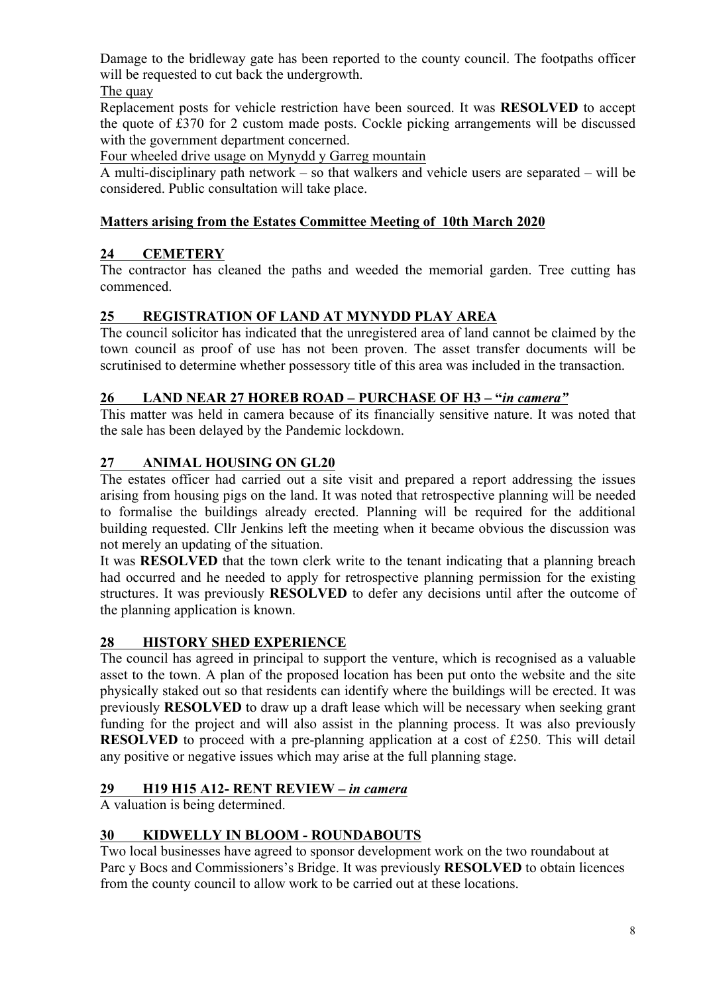Damage to the bridleway gate has been reported to the county council. The footpaths officer will be requested to cut back the undergrowth.

The quay

Replacement posts for vehicle restriction have been sourced. It was **RESOLVED** to accept the quote of £370 for 2 custom made posts. Cockle picking arrangements will be discussed with the government department concerned.

Four wheeled drive usage on Mynydd y Garreg mountain

A multi-disciplinary path network – so that walkers and vehicle users are separated – will be considered. Public consultation will take place.

# **Matters arising from the Estates Committee Meeting of 10th March 2020**

# **24 CEMETERY**

The contractor has cleaned the paths and weeded the memorial garden. Tree cutting has commenced.

### **25 REGISTRATION OF LAND AT MYNYDD PLAY AREA**

The council solicitor has indicated that the unregistered area of land cannot be claimed by the town council as proof of use has not been proven. The asset transfer documents will be scrutinised to determine whether possessory title of this area was included in the transaction.

### **26 LAND NEAR 27 HOREB ROAD – PURCHASE OF H3 – "***in camera"*

This matter was held in camera because of its financially sensitive nature. It was noted that the sale has been delayed by the Pandemic lockdown.

## **27 ANIMAL HOUSING ON GL20**

The estates officer had carried out a site visit and prepared a report addressing the issues arising from housing pigs on the land. It was noted that retrospective planning will be needed to formalise the buildings already erected. Planning will be required for the additional building requested. Cllr Jenkins left the meeting when it became obvious the discussion was not merely an updating of the situation.

It was **RESOLVED** that the town clerk write to the tenant indicating that a planning breach had occurred and he needed to apply for retrospective planning permission for the existing structures. It was previously **RESOLVED** to defer any decisions until after the outcome of the planning application is known.

# **28 HISTORY SHED EXPERIENCE**

The council has agreed in principal to support the venture, which is recognised as a valuable asset to the town. A plan of the proposed location has been put onto the website and the site physically staked out so that residents can identify where the buildings will be erected. It was previously **RESOLVED** to draw up a draft lease which will be necessary when seeking grant funding for the project and will also assist in the planning process. It was also previously **RESOLVED** to proceed with a pre-planning application at a cost of £250. This will detail any positive or negative issues which may arise at the full planning stage.

# **29 H19 H15 A12- RENT REVIEW** *– in camera*

A valuation is being determined.

### **30 KIDWELLY IN BLOOM - ROUNDABOUTS**

Two local businesses have agreed to sponsor development work on the two roundabout at Parc y Bocs and Commissioners's Bridge. It was previously **RESOLVED** to obtain licences from the county council to allow work to be carried out at these locations.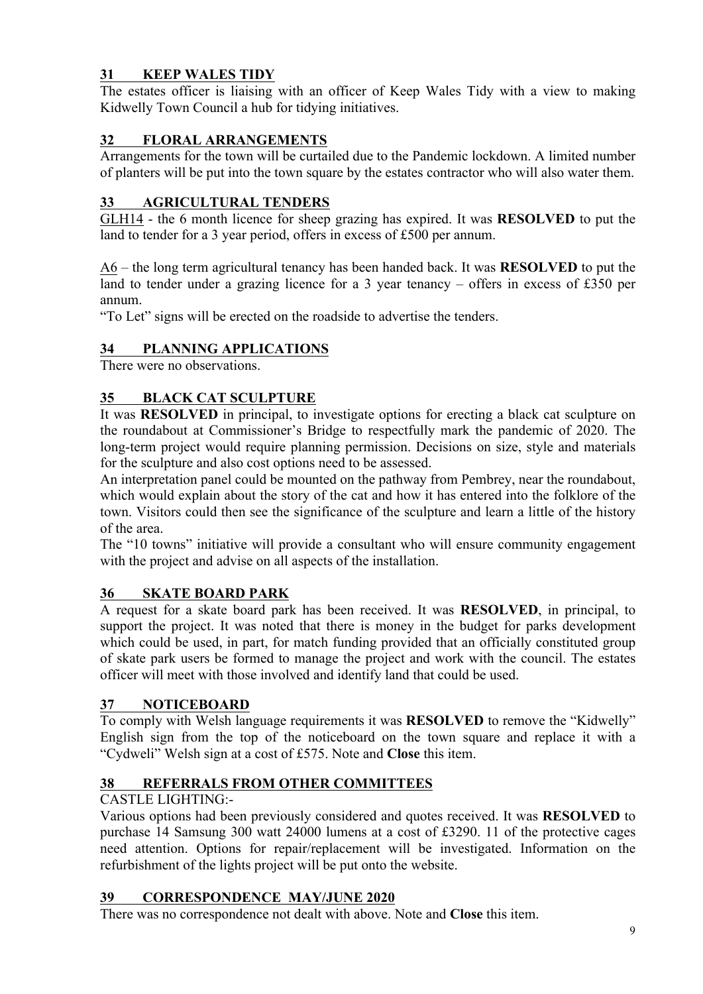# **31 KEEP WALES TIDY**

The estates officer is liaising with an officer of Keep Wales Tidy with a view to making Kidwelly Town Council a hub for tidying initiatives.

# **32 FLORAL ARRANGEMENTS**

Arrangements for the town will be curtailed due to the Pandemic lockdown. A limited number of planters will be put into the town square by the estates contractor who will also water them.

## **33 AGRICULTURAL TENDERS**

GLH14 - the 6 month licence for sheep grazing has expired. It was **RESOLVED** to put the land to tender for a 3 year period, offers in excess of £500 per annum.

A6 – the long term agricultural tenancy has been handed back. It was **RESOLVED** to put the land to tender under a grazing licence for a 3 year tenancy – offers in excess of £350 per annum.

"To Let" signs will be erected on the roadside to advertise the tenders.

## **34 PLANNING APPLICATIONS**

There were no observations.

### **35 BLACK CAT SCULPTURE**

It was **RESOLVED** in principal, to investigate options for erecting a black cat sculpture on the roundabout at Commissioner's Bridge to respectfully mark the pandemic of 2020. The long-term project would require planning permission. Decisions on size, style and materials for the sculpture and also cost options need to be assessed.

An interpretation panel could be mounted on the pathway from Pembrey, near the roundabout, which would explain about the story of the cat and how it has entered into the folklore of the town. Visitors could then see the significance of the sculpture and learn a little of the history of the area.

The "10 towns" initiative will provide a consultant who will ensure community engagement with the project and advise on all aspects of the installation.

### **36 SKATE BOARD PARK**

A request for a skate board park has been received. It was **RESOLVED**, in principal, to support the project. It was noted that there is money in the budget for parks development which could be used, in part, for match funding provided that an officially constituted group of skate park users be formed to manage the project and work with the council. The estates officer will meet with those involved and identify land that could be used.

### **37 NOTICEBOARD**

To comply with Welsh language requirements it was **RESOLVED** to remove the "Kidwelly" English sign from the top of the noticeboard on the town square and replace it with a "Cydweli" Welsh sign at a cost of £575. Note and **Close** this item.

# **38 REFERRALS FROM OTHER COMMITTEES**

### CASTLE LIGHTING:-

Various options had been previously considered and quotes received. It was **RESOLVED** to purchase 14 Samsung 300 watt 24000 lumens at a cost of £3290. 11 of the protective cages need attention. Options for repair/replacement will be investigated. Information on the refurbishment of the lights project will be put onto the website.

### **39 CORRESPONDENCE MAY/JUNE 2020**

There was no correspondence not dealt with above. Note and **Close** this item.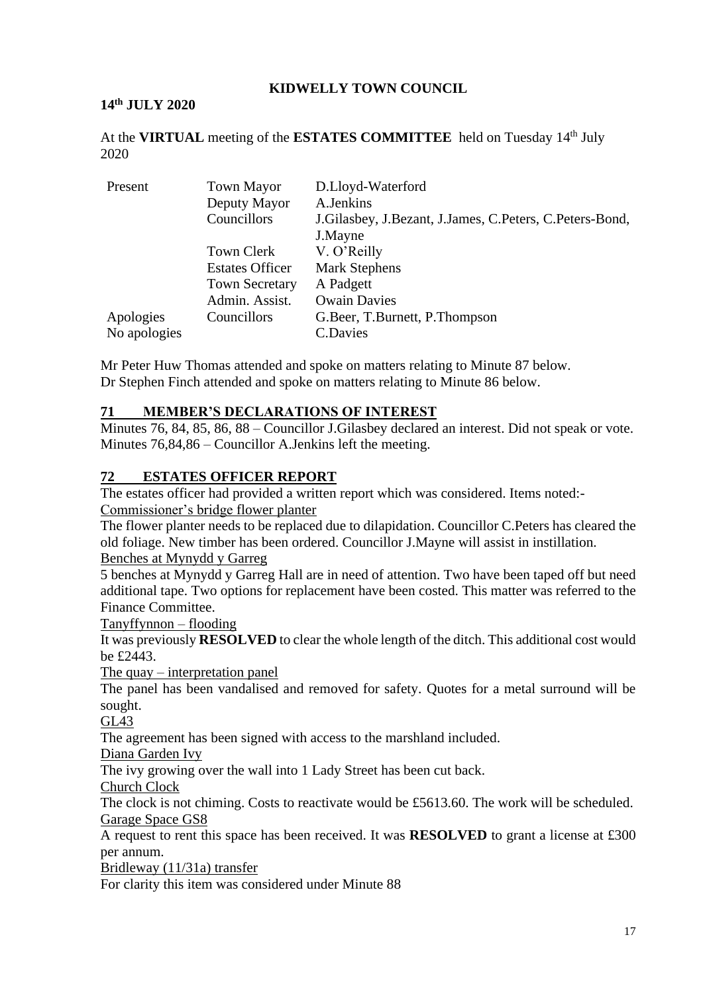#### **14th JULY 2020**

At the **VIRTUAL** meeting of the **ESTATES COMMITTEE** held on Tuesday 14th July 2020

| Present      | <b>Town Mayor</b>      | D.Lloyd-Waterford                                       |
|--------------|------------------------|---------------------------------------------------------|
|              | Deputy Mayor           | A.Jenkins                                               |
|              | Councillors            | J.Gilasbey, J.Bezant, J.James, C.Peters, C.Peters-Bond, |
|              |                        | J.Mayne                                                 |
|              | Town Clerk             | V. O'Reilly                                             |
|              | <b>Estates Officer</b> | <b>Mark Stephens</b>                                    |
|              | <b>Town Secretary</b>  | A Padgett                                               |
|              | Admin. Assist.         | <b>Owain Davies</b>                                     |
| Apologies    | Councillors            | G.Beer, T.Burnett, P.Thompson                           |
| No apologies |                        | C.Davies                                                |

Mr Peter Huw Thomas attended and spoke on matters relating to Minute 87 below. Dr Stephen Finch attended and spoke on matters relating to Minute 86 below.

#### **71 MEMBER'S DECLARATIONS OF INTEREST**

Minutes 76, 84, 85, 86, 88 – Councillor J.Gilasbey declared an interest. Did not speak or vote. Minutes 76,84,86 – Councillor A.Jenkins left the meeting.

#### **72 ESTATES OFFICER REPORT**

The estates officer had provided a written report which was considered. Items noted:- Commissioner's bridge flower planter

The flower planter needs to be replaced due to dilapidation. Councillor C.Peters has cleared the old foliage. New timber has been ordered. Councillor J.Mayne will assist in instillation. Benches at Mynydd y Garreg

5 benches at Mynydd y Garreg Hall are in need of attention. Two have been taped off but need additional tape. Two options for replacement have been costed. This matter was referred to the Finance Committee.

Tanyffynnon – flooding

It was previously **RESOLVED** to clear the whole length of the ditch. This additional cost would be £2443.

The quay – interpretation panel

The panel has been vandalised and removed for safety. Quotes for a metal surround will be sought.

GL43

The agreement has been signed with access to the marshland included.

Diana Garden Ivy

The ivy growing over the wall into 1 Lady Street has been cut back.

Church Clock

The clock is not chiming. Costs to reactivate would be £5613.60. The work will be scheduled. Garage Space GS8

A request to rent this space has been received. It was **RESOLVED** to grant a license at £300 per annum.

Bridleway (11/31a) transfer

For clarity this item was considered under Minute 88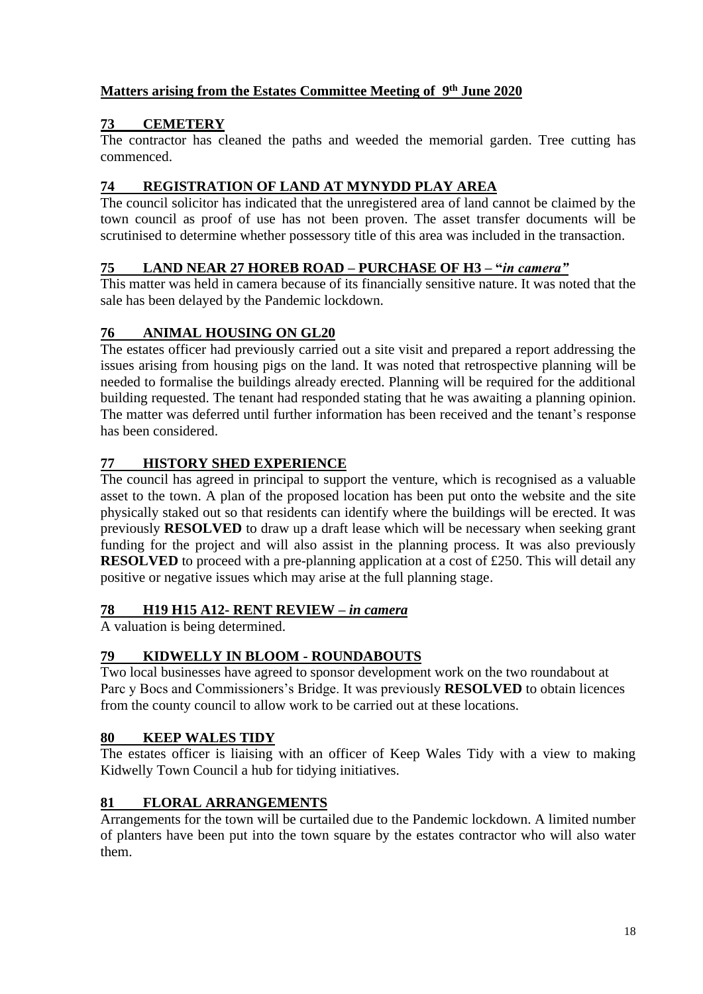### **Matters arising from the Estates Committee Meeting of 9 th June 2020**

#### **73 CEMETERY**

The contractor has cleaned the paths and weeded the memorial garden. Tree cutting has commenced.

#### **74 REGISTRATION OF LAND AT MYNYDD PLAY AREA**

The council solicitor has indicated that the unregistered area of land cannot be claimed by the town council as proof of use has not been proven. The asset transfer documents will be scrutinised to determine whether possessory title of this area was included in the transaction.

#### **75 LAND NEAR 27 HOREB ROAD – PURCHASE OF H3 – "***in camera"*

This matter was held in camera because of its financially sensitive nature. It was noted that the sale has been delayed by the Pandemic lockdown.

#### **76 ANIMAL HOUSING ON GL20**

The estates officer had previously carried out a site visit and prepared a report addressing the issues arising from housing pigs on the land. It was noted that retrospective planning will be needed to formalise the buildings already erected. Planning will be required for the additional building requested. The tenant had responded stating that he was awaiting a planning opinion. The matter was deferred until further information has been received and the tenant's response has been considered.

#### **77 HISTORY SHED EXPERIENCE**

The council has agreed in principal to support the venture, which is recognised as a valuable asset to the town. A plan of the proposed location has been put onto the website and the site physically staked out so that residents can identify where the buildings will be erected. It was previously **RESOLVED** to draw up a draft lease which will be necessary when seeking grant funding for the project and will also assist in the planning process. It was also previously **RESOLVED** to proceed with a pre-planning application at a cost of £250. This will detail any positive or negative issues which may arise at the full planning stage.

#### **78 H19 H15 A12- RENT REVIEW** *– in camera*

A valuation is being determined.

#### **79 KIDWELLY IN BLOOM - ROUNDABOUTS**

Two local businesses have agreed to sponsor development work on the two roundabout at Parc y Bocs and Commissioners's Bridge. It was previously **RESOLVED** to obtain licences from the county council to allow work to be carried out at these locations.

#### **80 KEEP WALES TIDY**

The estates officer is liaising with an officer of Keep Wales Tidy with a view to making Kidwelly Town Council a hub for tidying initiatives.

#### **81 FLORAL ARRANGEMENTS**

Arrangements for the town will be curtailed due to the Pandemic lockdown. A limited number of planters have been put into the town square by the estates contractor who will also water them.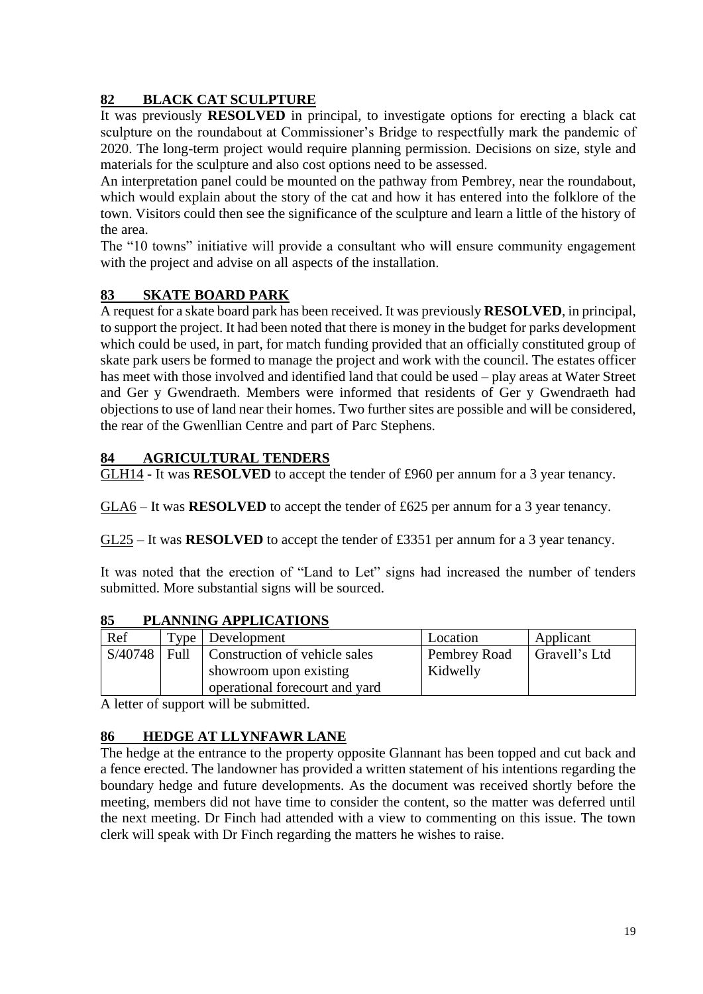# **82 BLACK CAT SCULPTURE**

It was previously **RESOLVED** in principal, to investigate options for erecting a black cat sculpture on the roundabout at Commissioner's Bridge to respectfully mark the pandemic of 2020. The long-term project would require planning permission. Decisions on size, style and materials for the sculpture and also cost options need to be assessed.

An interpretation panel could be mounted on the pathway from Pembrey, near the roundabout, which would explain about the story of the cat and how it has entered into the folklore of the town. Visitors could then see the significance of the sculpture and learn a little of the history of the area.

The "10 towns" initiative will provide a consultant who will ensure community engagement with the project and advise on all aspects of the installation.

## **83 SKATE BOARD PARK**

A request for a skate board park has been received. It was previously **RESOLVED**, in principal, to support the project. It had been noted that there is money in the budget for parks development which could be used, in part, for match funding provided that an officially constituted group of skate park users be formed to manage the project and work with the council. The estates officer has meet with those involved and identified land that could be used – play areas at Water Street and Ger y Gwendraeth. Members were informed that residents of Ger y Gwendraeth had objections to use of land near their homes. Two further sites are possible and will be considered, the rear of the Gwenllian Centre and part of Parc Stephens.

## **84 AGRICULTURAL TENDERS**

GLH14 - It was **RESOLVED** to accept the tender of £960 per annum for a 3 year tenancy.

GLA6 – It was **RESOLVED** to accept the tender of £625 per annum for a 3 year tenancy.

GL25 – It was **RESOLVED** to accept the tender of £3351 per annum for a 3 year tenancy.

It was noted that the erection of "Land to Let" signs had increased the number of tenders submitted. More substantial signs will be sourced.

# **85 PLANNING APPLICATIONS**

| Ref     |      | Type   Development                                       | Location            | Applicant     |
|---------|------|----------------------------------------------------------|---------------------|---------------|
| S/40748 | Full | Construction of vehicle sales                            | <b>Pembrey Road</b> | Gravell's Ltd |
|         |      | showroom upon existing<br>operational forecourt and yard | Kidwelly            |               |

A letter of support will be submitted.

### **86 HEDGE AT LLYNFAWR LANE**

The hedge at the entrance to the property opposite Glannant has been topped and cut back and a fence erected. The landowner has provided a written statement of his intentions regarding the boundary hedge and future developments. As the document was received shortly before the meeting, members did not have time to consider the content, so the matter was deferred until the next meeting. Dr Finch had attended with a view to commenting on this issue. The town clerk will speak with Dr Finch regarding the matters he wishes to raise.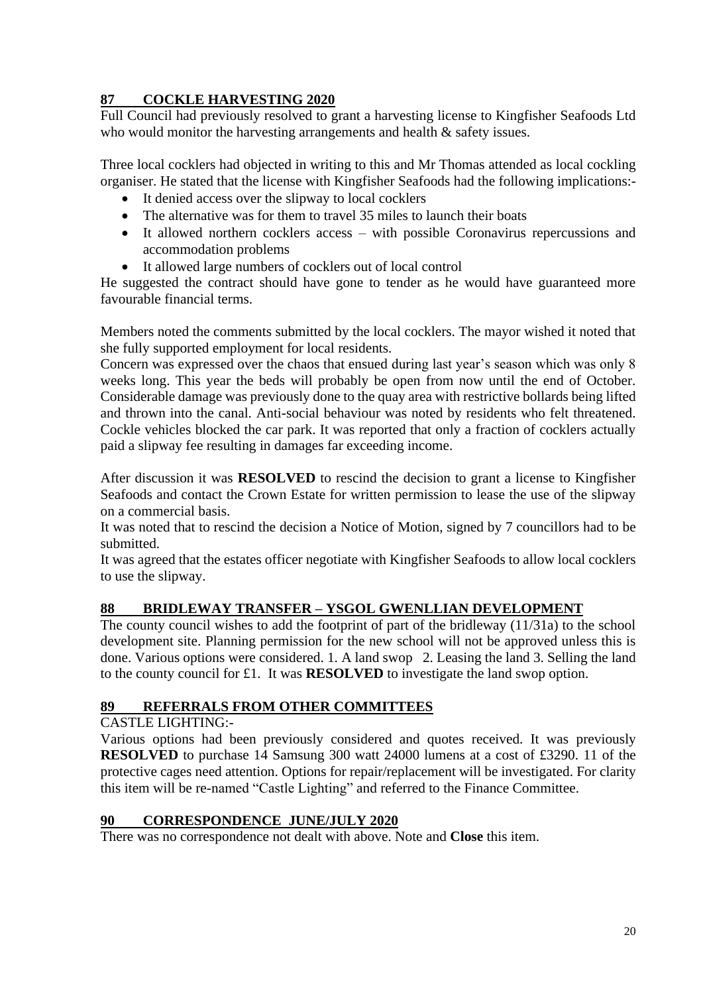# **87 COCKLE HARVESTING 2020**

Full Council had previously resolved to grant a harvesting license to Kingfisher Seafoods Ltd who would monitor the harvesting arrangements and health  $\&$  safety issues.

Three local cocklers had objected in writing to this and Mr Thomas attended as local cockling organiser. He stated that the license with Kingfisher Seafoods had the following implications:-

- It denied access over the slipway to local cocklers
- The alternative was for them to travel 35 miles to launch their boats
- It allowed northern cocklers access with possible Coronavirus repercussions and accommodation problems
- It allowed large numbers of cocklers out of local control

He suggested the contract should have gone to tender as he would have guaranteed more favourable financial terms.

Members noted the comments submitted by the local cocklers. The mayor wished it noted that she fully supported employment for local residents.

Concern was expressed over the chaos that ensued during last year's season which was only 8 weeks long. This year the beds will probably be open from now until the end of October. Considerable damage was previously done to the quay area with restrictive bollards being lifted and thrown into the canal. Anti-social behaviour was noted by residents who felt threatened. Cockle vehicles blocked the car park. It was reported that only a fraction of cocklers actually paid a slipway fee resulting in damages far exceeding income.

After discussion it was **RESOLVED** to rescind the decision to grant a license to Kingfisher Seafoods and contact the Crown Estate for written permission to lease the use of the slipway on a commercial basis.

It was noted that to rescind the decision a Notice of Motion, signed by 7 councillors had to be submitted.

It was agreed that the estates officer negotiate with Kingfisher Seafoods to allow local cocklers to use the slipway.

### **88 BRIDLEWAY TRANSFER – YSGOL GWENLLIAN DEVELOPMENT**

The county council wishes to add the footprint of part of the bridleway (11/31a) to the school development site. Planning permission for the new school will not be approved unless this is done. Various options were considered. 1. A land swop 2. Leasing the land 3. Selling the land to the county council for £1. It was **RESOLVED** to investigate the land swop option.

### **89 REFERRALS FROM OTHER COMMITTEES**

CASTLE LIGHTING:-

Various options had been previously considered and quotes received. It was previously **RESOLVED** to purchase 14 Samsung 300 watt 24000 lumens at a cost of £3290. 11 of the protective cages need attention. Options for repair/replacement will be investigated. For clarity this item will be re-named "Castle Lighting" and referred to the Finance Committee.

#### **90 CORRESPONDENCE JUNE/JULY 2020**

There was no correspondence not dealt with above. Note and **Close** this item.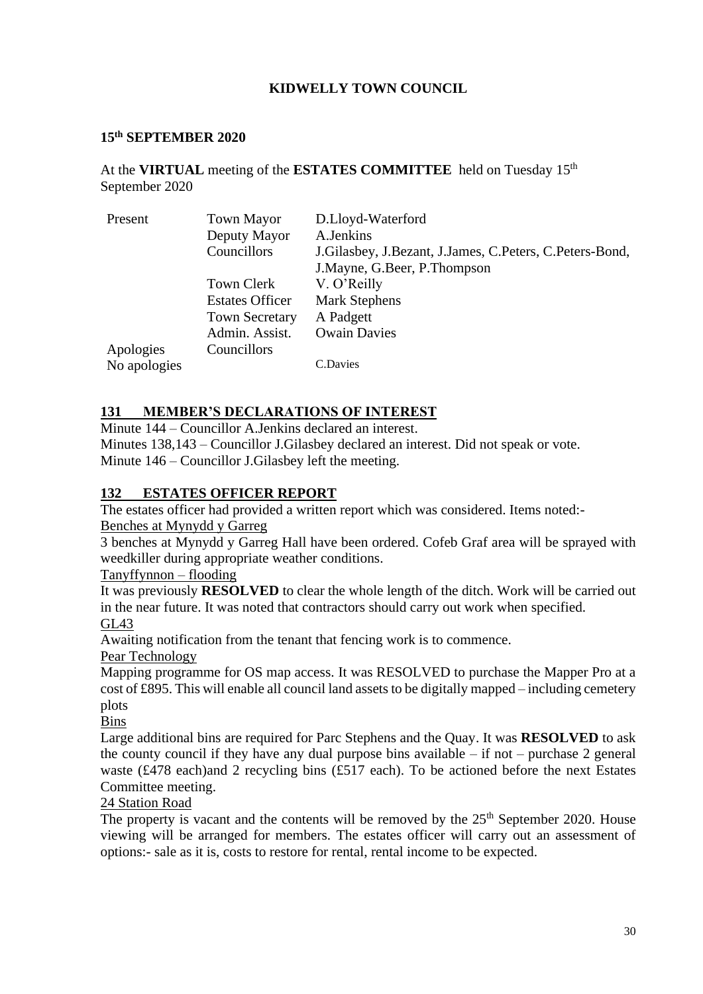#### **15 th SEPTEMBER 2020**

At the **VIRTUAL** meeting of the **ESTATES COMMITTEE** held on Tuesday 15<sup>th</sup> September 2020

| Present      | <b>Town Mayor</b>      | D.Lloyd-Waterford                                       |
|--------------|------------------------|---------------------------------------------------------|
|              | Deputy Mayor           | A.Jenkins                                               |
|              | Councillors            | J.Gilasbey, J.Bezant, J.James, C.Peters, C.Peters-Bond, |
|              |                        | J.Mayne, G.Beer, P.Thompson                             |
|              | <b>Town Clerk</b>      | V. O'Reilly                                             |
|              | <b>Estates Officer</b> | <b>Mark Stephens</b>                                    |
|              | <b>Town Secretary</b>  | A Padgett                                               |
|              | Admin. Assist.         | <b>Owain Davies</b>                                     |
| Apologies    | Councillors            |                                                         |
| No apologies |                        | C.Davies                                                |

#### **131 MEMBER'S DECLARATIONS OF INTEREST**

Minute 144 – Councillor A.Jenkins declared an interest.

Minutes 138,143 – Councillor J.Gilasbey declared an interest. Did not speak or vote. Minute 146 – Councillor J.Gilasbey left the meeting.

#### **132 ESTATES OFFICER REPORT**

The estates officer had provided a written report which was considered. Items noted:- Benches at Mynydd y Garreg

3 benches at Mynydd y Garreg Hall have been ordered. Cofeb Graf area will be sprayed with weedkiller during appropriate weather conditions.

#### Tanyffynnon – flooding

It was previously **RESOLVED** to clear the whole length of the ditch. Work will be carried out in the near future. It was noted that contractors should carry out work when specified. GL43

Awaiting notification from the tenant that fencing work is to commence.

Pear Technology

Mapping programme for OS map access. It was RESOLVED to purchase the Mapper Pro at a cost of £895. This will enable all council land assets to be digitally mapped – including cemetery plots

Bins

Large additional bins are required for Parc Stephens and the Quay. It was **RESOLVED** to ask the county council if they have any dual purpose bins available  $-$  if not  $-$  purchase 2 general waste (£478 each)and 2 recycling bins (£517 each). To be actioned before the next Estates Committee meeting.

#### 24 Station Road

The property is vacant and the contents will be removed by the  $25<sup>th</sup>$  September 2020. House viewing will be arranged for members. The estates officer will carry out an assessment of options:- sale as it is, costs to restore for rental, rental income to be expected.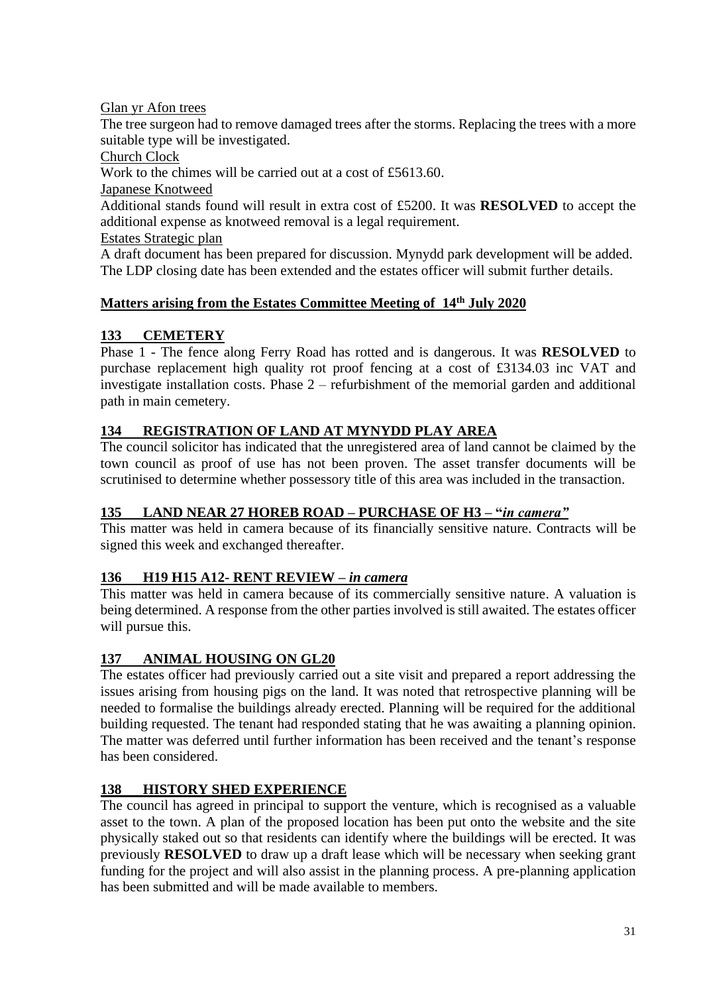Glan yr Afon trees

The tree surgeon had to remove damaged trees after the storms. Replacing the trees with a more suitable type will be investigated.

Church Clock

Work to the chimes will be carried out at a cost of £5613.60.

Japanese Knotweed

Additional stands found will result in extra cost of £5200. It was **RESOLVED** to accept the additional expense as knotweed removal is a legal requirement.

Estates Strategic plan

A draft document has been prepared for discussion. Mynydd park development will be added. The LDP closing date has been extended and the estates officer will submit further details.

# **Matters arising from the Estates Committee Meeting of 14th July 2020**

## **133 CEMETERY**

Phase 1 - The fence along Ferry Road has rotted and is dangerous. It was **RESOLVED** to purchase replacement high quality rot proof fencing at a cost of £3134.03 inc VAT and investigate installation costs. Phase 2 – refurbishment of the memorial garden and additional path in main cemetery.

## **134 REGISTRATION OF LAND AT MYNYDD PLAY AREA**

The council solicitor has indicated that the unregistered area of land cannot be claimed by the town council as proof of use has not been proven. The asset transfer documents will be scrutinised to determine whether possessory title of this area was included in the transaction.

### **135 LAND NEAR 27 HOREB ROAD – PURCHASE OF H3 – "***in camera"*

This matter was held in camera because of its financially sensitive nature. Contracts will be signed this week and exchanged thereafter.

### **136 H19 H15 A12- RENT REVIEW** *– in camera*

This matter was held in camera because of its commercially sensitive nature. A valuation is being determined. A response from the other parties involved is still awaited. The estates officer will pursue this.

# **137 ANIMAL HOUSING ON GL20**

The estates officer had previously carried out a site visit and prepared a report addressing the issues arising from housing pigs on the land. It was noted that retrospective planning will be needed to formalise the buildings already erected. Planning will be required for the additional building requested. The tenant had responded stating that he was awaiting a planning opinion. The matter was deferred until further information has been received and the tenant's response has been considered.

### **138 HISTORY SHED EXPERIENCE**

The council has agreed in principal to support the venture, which is recognised as a valuable asset to the town. A plan of the proposed location has been put onto the website and the site physically staked out so that residents can identify where the buildings will be erected. It was previously **RESOLVED** to draw up a draft lease which will be necessary when seeking grant funding for the project and will also assist in the planning process. A pre-planning application has been submitted and will be made available to members.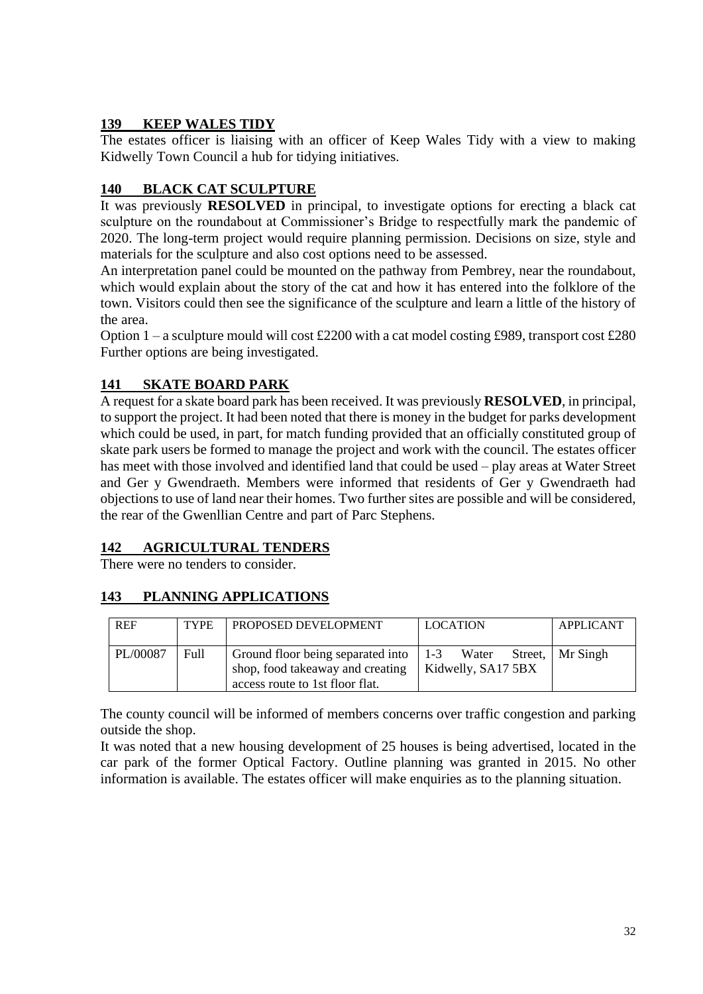#### **139 KEEP WALES TIDY**

The estates officer is liaising with an officer of Keep Wales Tidy with a view to making Kidwelly Town Council a hub for tidying initiatives.

### **140 BLACK CAT SCULPTURE**

It was previously **RESOLVED** in principal, to investigate options for erecting a black cat sculpture on the roundabout at Commissioner's Bridge to respectfully mark the pandemic of 2020. The long-term project would require planning permission. Decisions on size, style and materials for the sculpture and also cost options need to be assessed.

An interpretation panel could be mounted on the pathway from Pembrey, near the roundabout, which would explain about the story of the cat and how it has entered into the folklore of the town. Visitors could then see the significance of the sculpture and learn a little of the history of the area.

Option  $1 - a$  sculpture mould will cost £2200 with a cat model costing £989, transport cost £280 Further options are being investigated.

### **141 SKATE BOARD PARK**

A request for a skate board park has been received. It was previously **RESOLVED**, in principal, to support the project. It had been noted that there is money in the budget for parks development which could be used, in part, for match funding provided that an officially constituted group of skate park users be formed to manage the project and work with the council. The estates officer has meet with those involved and identified land that could be used – play areas at Water Street and Ger y Gwendraeth. Members were informed that residents of Ger y Gwendraeth had objections to use of land near their homes. Two further sites are possible and will be considered, the rear of the Gwenllian Centre and part of Parc Stephens.

#### **142 AGRICULTURAL TENDERS**

There were no tenders to consider.

### **143 PLANNING APPLICATIONS**

| <b>REF</b> | <b>TYPE</b> | PROPOSED DEVELOPMENT                                                                                     | <b>LOCATION</b>                        | <b>APPLICANT</b>   |
|------------|-------------|----------------------------------------------------------------------------------------------------------|----------------------------------------|--------------------|
| PL/00087   | Full        | Ground floor being separated into<br>shop, food takeaway and creating<br>access route to 1st floor flat. | $1 - 3$<br>Water<br>Kidwelly, SA17 5BX | Street,   Mr Singh |

The county council will be informed of members concerns over traffic congestion and parking outside the shop.

It was noted that a new housing development of 25 houses is being advertised, located in the car park of the former Optical Factory. Outline planning was granted in 2015. No other information is available. The estates officer will make enquiries as to the planning situation.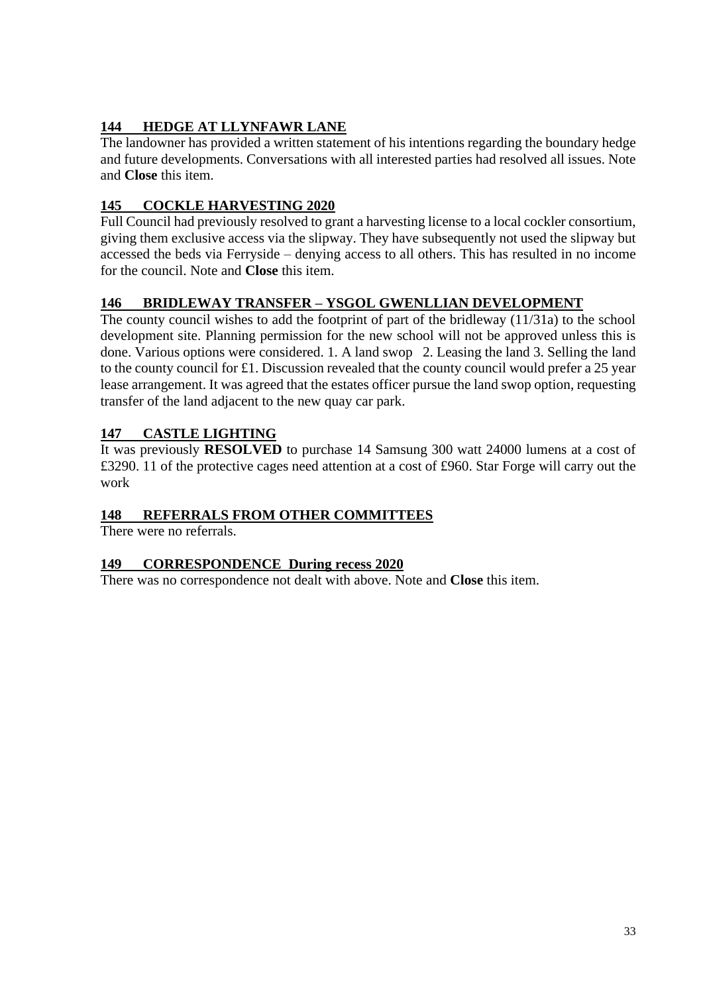## **144 HEDGE AT LLYNFAWR LANE**

The landowner has provided a written statement of his intentions regarding the boundary hedge and future developments. Conversations with all interested parties had resolved all issues. Note and **Close** this item.

### **145 COCKLE HARVESTING 2020**

Full Council had previously resolved to grant a harvesting license to a local cockler consortium, giving them exclusive access via the slipway. They have subsequently not used the slipway but accessed the beds via Ferryside – denying access to all others. This has resulted in no income for the council. Note and **Close** this item.

### **146 BRIDLEWAY TRANSFER – YSGOL GWENLLIAN DEVELOPMENT**

The county council wishes to add the footprint of part of the bridleway (11/31a) to the school development site. Planning permission for the new school will not be approved unless this is done. Various options were considered. 1. A land swop 2. Leasing the land 3. Selling the land to the county council for £1. Discussion revealed that the county council would prefer a 25 year lease arrangement. It was agreed that the estates officer pursue the land swop option, requesting transfer of the land adjacent to the new quay car park.

## **147 CASTLE LIGHTING**

It was previously **RESOLVED** to purchase 14 Samsung 300 watt 24000 lumens at a cost of £3290. 11 of the protective cages need attention at a cost of £960. Star Forge will carry out the work

### **148 REFERRALS FROM OTHER COMMITTEES**

There were no referrals.

### **149 CORRESPONDENCE During recess 2020**

There was no correspondence not dealt with above. Note and **Close** this item.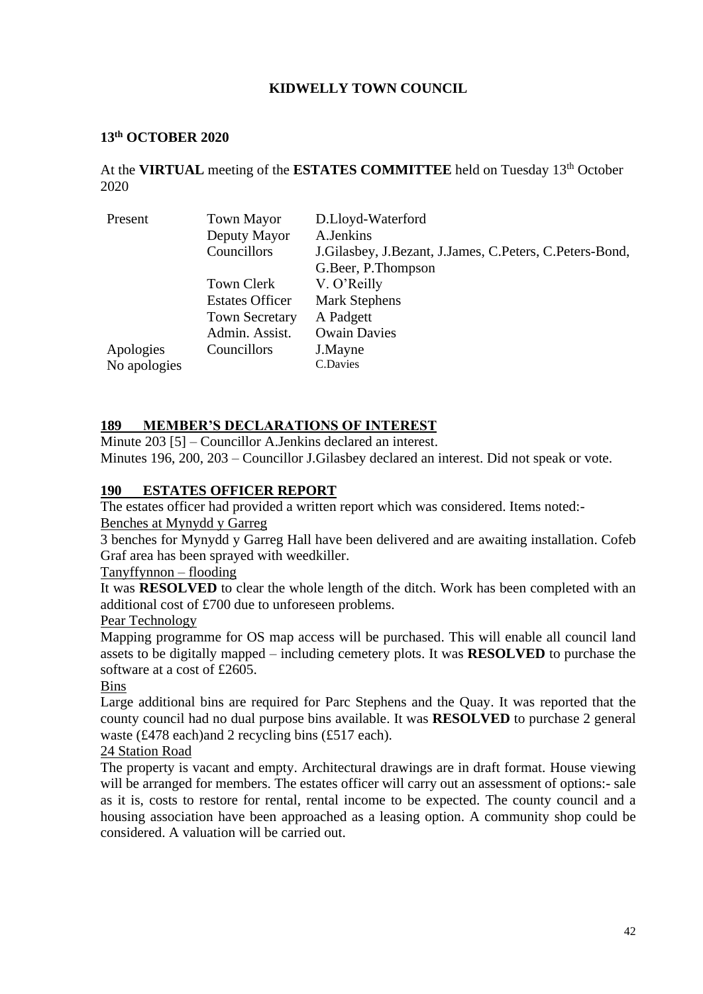#### **13 th OCTOBER 2020**

At the VIRTUAL meeting of the ESTATES COMMITTEE held on Tuesday 13<sup>th</sup> October 2020

| Present      | <b>Town Mayor</b>      | D.Lloyd-Waterford                                       |
|--------------|------------------------|---------------------------------------------------------|
|              | Deputy Mayor           | A.Jenkins                                               |
|              | Councillors            | J.Gilasbey, J.Bezant, J.James, C.Peters, C.Peters-Bond, |
|              |                        | G.Beer, P.Thompson                                      |
|              | Town Clerk             | V. O'Reilly                                             |
|              | <b>Estates Officer</b> | <b>Mark Stephens</b>                                    |
|              | <b>Town Secretary</b>  | A Padgett                                               |
|              | Admin. Assist.         | <b>Owain Davies</b>                                     |
| Apologies    | Councillors            | J.Mayne                                                 |
| No apologies |                        | C.Davies                                                |

#### **189 MEMBER'S DECLARATIONS OF INTEREST**

Minute 203 [5] – Councillor A.Jenkins declared an interest. Minutes 196, 200, 203 – Councillor J.Gilasbey declared an interest. Did not speak or vote.

#### **190 ESTATES OFFICER REPORT**

The estates officer had provided a written report which was considered. Items noted:-

#### Benches at Mynydd y Garreg

3 benches for Mynydd y Garreg Hall have been delivered and are awaiting installation. Cofeb Graf area has been sprayed with weedkiller.

#### Tanyffynnon – flooding

It was **RESOLVED** to clear the whole length of the ditch. Work has been completed with an additional cost of £700 due to unforeseen problems.

#### Pear Technology

Mapping programme for OS map access will be purchased. This will enable all council land assets to be digitally mapped – including cemetery plots. It was **RESOLVED** to purchase the software at a cost of £2605.

#### Bins

Large additional bins are required for Parc Stephens and the Quay. It was reported that the county council had no dual purpose bins available. It was **RESOLVED** to purchase 2 general waste (£478 each)and 2 recycling bins (£517 each).

#### 24 Station Road

The property is vacant and empty. Architectural drawings are in draft format. House viewing will be arranged for members. The estates officer will carry out an assessment of options:- sale as it is, costs to restore for rental, rental income to be expected. The county council and a housing association have been approached as a leasing option. A community shop could be considered. A valuation will be carried out.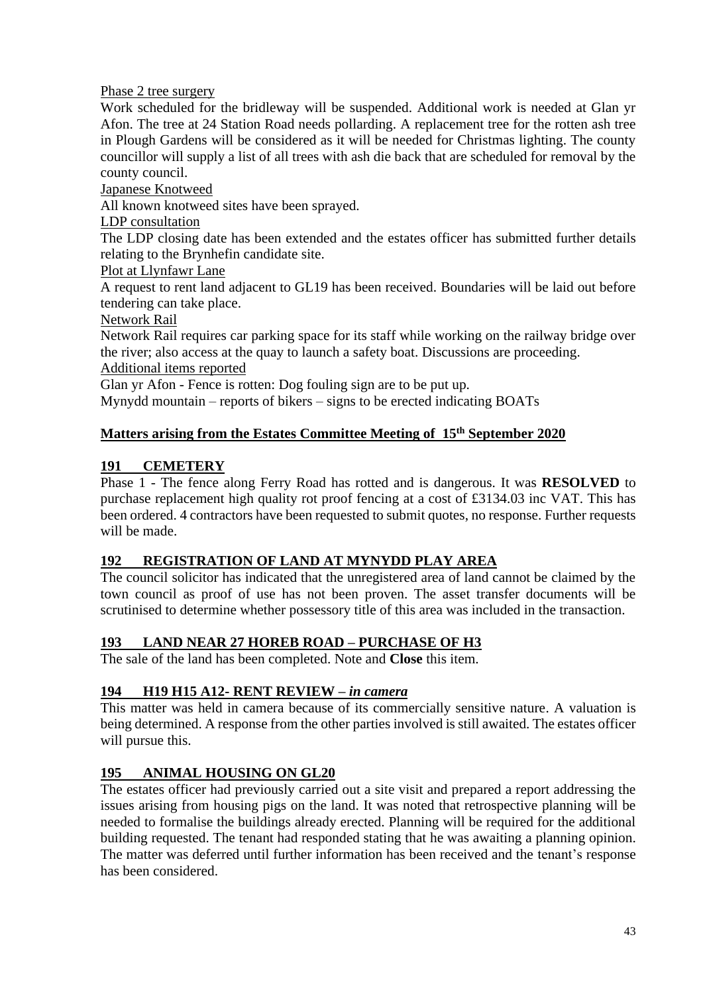Phase 2 tree surgery

Work scheduled for the bridleway will be suspended. Additional work is needed at Glan yr Afon. The tree at 24 Station Road needs pollarding. A replacement tree for the rotten ash tree in Plough Gardens will be considered as it will be needed for Christmas lighting. The county councillor will supply a list of all trees with ash die back that are scheduled for removal by the county council.

Japanese Knotweed

All known knotweed sites have been sprayed.

LDP consultation

The LDP closing date has been extended and the estates officer has submitted further details relating to the Brynhefin candidate site.

Plot at Llynfawr Lane

A request to rent land adjacent to GL19 has been received. Boundaries will be laid out before tendering can take place.

Network Rail

Network Rail requires car parking space for its staff while working on the railway bridge over the river; also access at the quay to launch a safety boat. Discussions are proceeding. Additional items reported

Glan yr Afon - Fence is rotten: Dog fouling sign are to be put up.

Mynydd mountain – reports of bikers – signs to be erected indicating BOATs

#### **Matters arising from the Estates Committee Meeting of 15 th September 2020**

#### **191 CEMETERY**

Phase 1 - The fence along Ferry Road has rotted and is dangerous. It was **RESOLVED** to purchase replacement high quality rot proof fencing at a cost of £3134.03 inc VAT. This has been ordered. 4 contractors have been requested to submit quotes, no response. Further requests will be made.

#### **192 REGISTRATION OF LAND AT MYNYDD PLAY AREA**

The council solicitor has indicated that the unregistered area of land cannot be claimed by the town council as proof of use has not been proven. The asset transfer documents will be scrutinised to determine whether possessory title of this area was included in the transaction.

### **193 LAND NEAR 27 HOREB ROAD – PURCHASE OF H3**

The sale of the land has been completed. Note and **Close** this item.

#### **194 H19 H15 A12- RENT REVIEW** *– in camera*

This matter was held in camera because of its commercially sensitive nature. A valuation is being determined. A response from the other parties involved is still awaited. The estates officer will pursue this.

#### **195 ANIMAL HOUSING ON GL20**

The estates officer had previously carried out a site visit and prepared a report addressing the issues arising from housing pigs on the land. It was noted that retrospective planning will be needed to formalise the buildings already erected. Planning will be required for the additional building requested. The tenant had responded stating that he was awaiting a planning opinion. The matter was deferred until further information has been received and the tenant's response has been considered.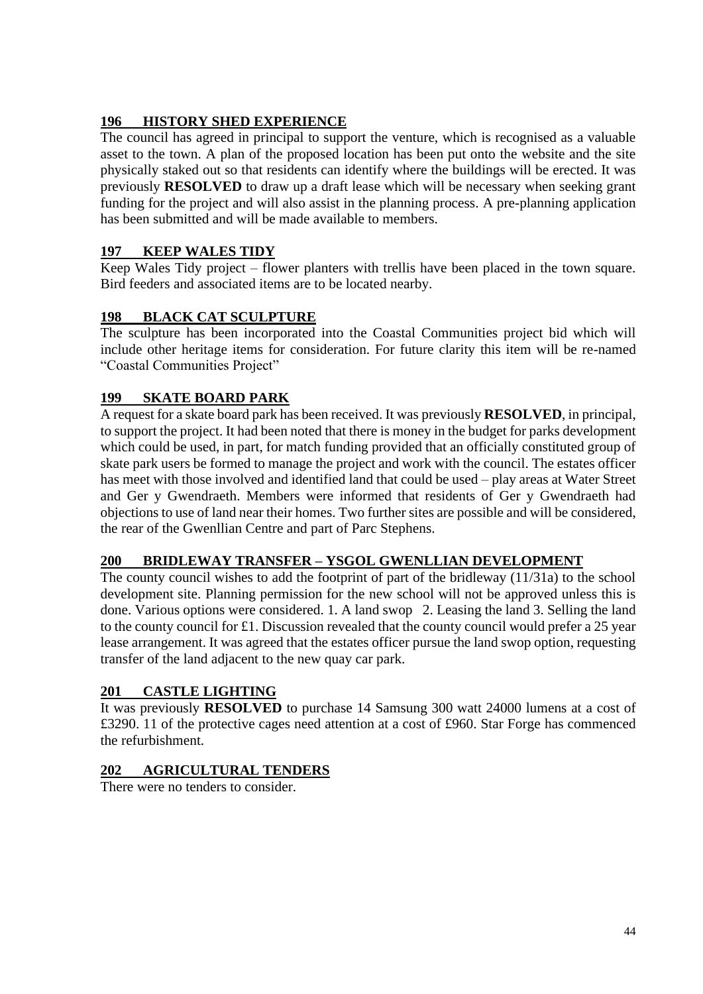### **196 HISTORY SHED EXPERIENCE**

The council has agreed in principal to support the venture, which is recognised as a valuable asset to the town. A plan of the proposed location has been put onto the website and the site physically staked out so that residents can identify where the buildings will be erected. It was previously **RESOLVED** to draw up a draft lease which will be necessary when seeking grant funding for the project and will also assist in the planning process. A pre-planning application has been submitted and will be made available to members.

### **197 KEEP WALES TIDY**

Keep Wales Tidy project – flower planters with trellis have been placed in the town square. Bird feeders and associated items are to be located nearby.

### **198 BLACK CAT SCULPTURE**

The sculpture has been incorporated into the Coastal Communities project bid which will include other heritage items for consideration. For future clarity this item will be re-named "Coastal Communities Project"

## **199 SKATE BOARD PARK**

A request for a skate board park has been received. It was previously **RESOLVED**, in principal, to support the project. It had been noted that there is money in the budget for parks development which could be used, in part, for match funding provided that an officially constituted group of skate park users be formed to manage the project and work with the council. The estates officer has meet with those involved and identified land that could be used – play areas at Water Street and Ger y Gwendraeth. Members were informed that residents of Ger y Gwendraeth had objections to use of land near their homes. Two further sites are possible and will be considered, the rear of the Gwenllian Centre and part of Parc Stephens.

### **200 BRIDLEWAY TRANSFER – YSGOL GWENLLIAN DEVELOPMENT**

The county council wishes to add the footprint of part of the bridleway (11/31a) to the school development site. Planning permission for the new school will not be approved unless this is done. Various options were considered. 1. A land swop 2. Leasing the land 3. Selling the land to the county council for £1. Discussion revealed that the county council would prefer a 25 year lease arrangement. It was agreed that the estates officer pursue the land swop option, requesting transfer of the land adjacent to the new quay car park.

### **201 CASTLE LIGHTING**

It was previously **RESOLVED** to purchase 14 Samsung 300 watt 24000 lumens at a cost of £3290. 11 of the protective cages need attention at a cost of £960. Star Forge has commenced the refurbishment.

### **202 AGRICULTURAL TENDERS**

There were no tenders to consider.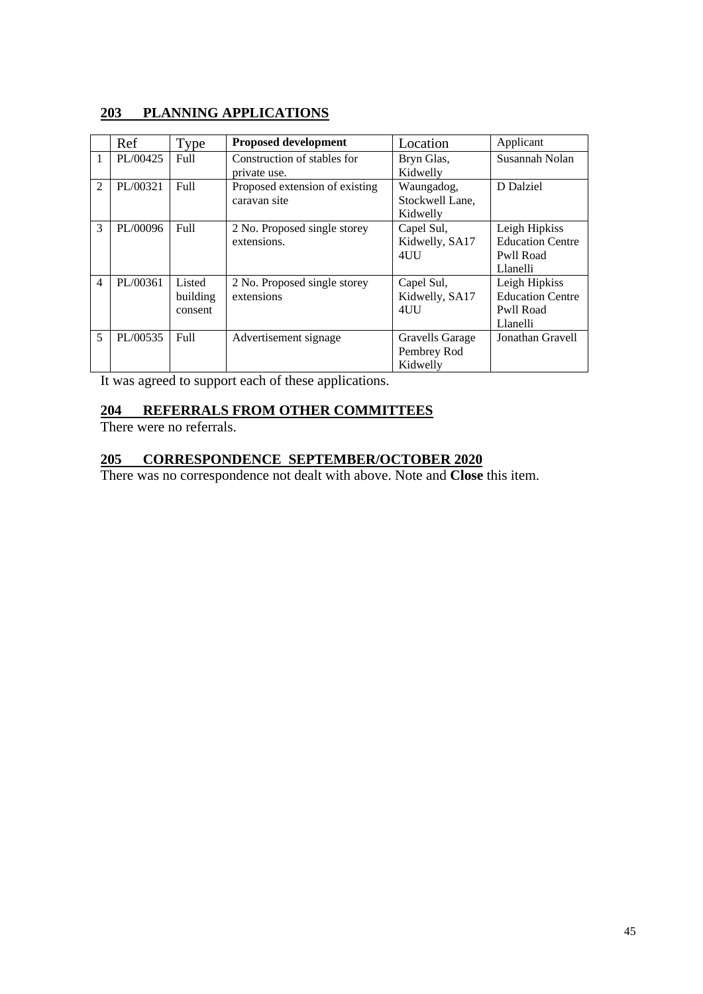## **203 PLANNING APPLICATIONS**

|                | Ref      | Type                          | <b>Proposed development</b>                    | Location                                   | Applicant                                                         |
|----------------|----------|-------------------------------|------------------------------------------------|--------------------------------------------|-------------------------------------------------------------------|
| 1              | PL/00425 | Full                          | Construction of stables for<br>private use.    | Bryn Glas,<br>Kidwelly                     | Susannah Nolan                                                    |
| $\overline{2}$ | PL/00321 | Full                          | Proposed extension of existing<br>caravan site | Waungadog,<br>Stockwell Lane,<br>Kidwelly  | D Dalziel                                                         |
| 3              | PL/00096 | Full                          | 2 No. Proposed single storey<br>extensions.    | Capel Sul,<br>Kidwelly, SA17<br>4UU        | Leigh Hipkiss<br><b>Education Centre</b><br>Pwll Road<br>Llanelli |
| $\overline{4}$ | PL/00361 | Listed<br>building<br>consent | 2 No. Proposed single storey<br>extensions     | Capel Sul,<br>Kidwelly, SA17<br>4UU        | Leigh Hipkiss<br><b>Education Centre</b><br>Pwll Road<br>Llanelli |
| 5              | PL/00535 | Full                          | Advertisement signage                          | Gravells Garage<br>Pembrey Rod<br>Kidwelly | Jonathan Gravell                                                  |

It was agreed to support each of these applications.

## **204 REFERRALS FROM OTHER COMMITTEES**

There were no referrals.

### **205 CORRESPONDENCE SEPTEMBER/OCTOBER 2020**

There was no correspondence not dealt with above. Note and **Close** this item.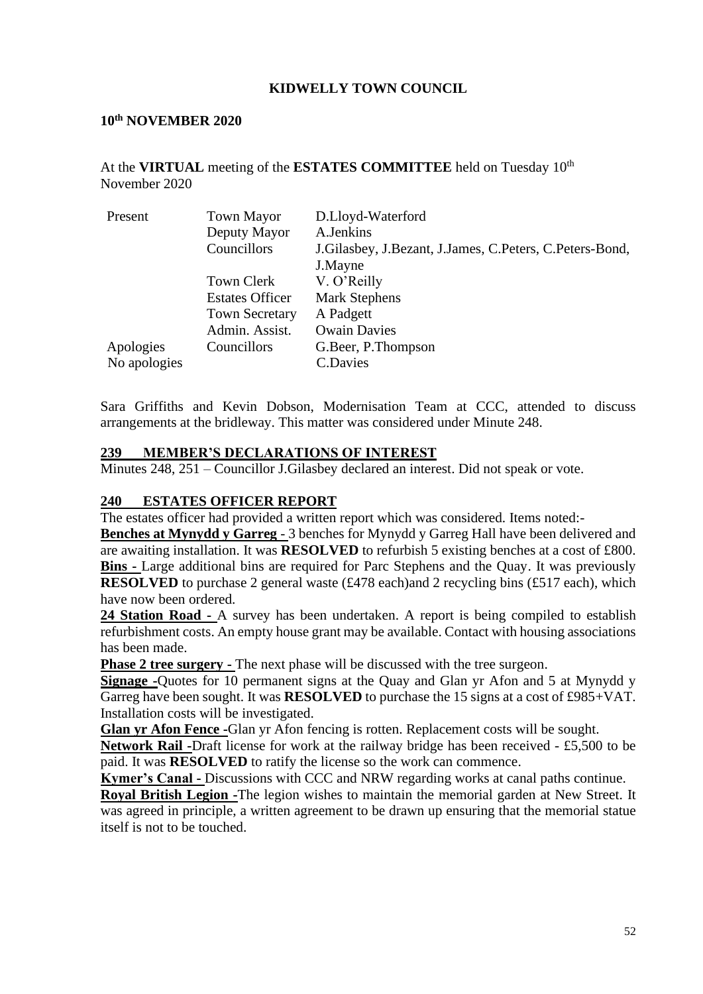#### **10 th NOVEMBER 2020**

At the VIRTUAL meeting of the ESTATES COMMITTEE held on Tuesday 10<sup>th</sup> November 2020

| Present      | <b>Town Mayor</b>      | D.Lloyd-Waterford                                       |
|--------------|------------------------|---------------------------------------------------------|
|              | Deputy Mayor           | A.Jenkins                                               |
|              | Councillors            | J.Gilasbey, J.Bezant, J.James, C.Peters, C.Peters-Bond, |
|              |                        | J.Mayne                                                 |
|              | Town Clerk             | V. O'Reilly                                             |
|              | <b>Estates Officer</b> | <b>Mark Stephens</b>                                    |
|              | <b>Town Secretary</b>  | A Padgett                                               |
|              | Admin. Assist.         | <b>Owain Davies</b>                                     |
| Apologies    | Councillors            | G.Beer, P.Thompson                                      |
| No apologies |                        | <b>C.Davies</b>                                         |

Sara Griffiths and Kevin Dobson, Modernisation Team at CCC, attended to discuss arrangements at the bridleway. This matter was considered under Minute 248.

#### **239 MEMBER'S DECLARATIONS OF INTEREST**

Minutes 248, 251 – Councillor J.Gilasbey declared an interest. Did not speak or vote.

#### **240 ESTATES OFFICER REPORT**

The estates officer had provided a written report which was considered. Items noted:-

**Benches at Mynydd y Garreg** - 3 benches for Mynydd y Garreg Hall have been delivered and are awaiting installation. It was **RESOLVED** to refurbish 5 existing benches at a cost of £800. **Bins -** Large additional bins are required for Parc Stephens and the Quay. It was previously **RESOLVED** to purchase 2 general waste (£478 each)and 2 recycling bins (£517 each), which have now been ordered.

**24 Station Road -** A survey has been undertaken. A report is being compiled to establish refurbishment costs. An empty house grant may be available. Contact with housing associations has been made.

**Phase 2 tree surgery -** The next phase will be discussed with the tree surgeon.

**Signage -**Quotes for 10 permanent signs at the Quay and Glan yr Afon and 5 at Mynydd y Garreg have been sought. It was **RESOLVED** to purchase the 15 signs at a cost of £985+VAT. Installation costs will be investigated.

**Glan yr Afon Fence -**Glan yr Afon fencing is rotten. Replacement costs will be sought.

**Network Rail -**Draft license for work at the railway bridge has been received - £5,500 to be paid. It was **RESOLVED** to ratify the license so the work can commence.

**Kymer's Canal -** Discussions with CCC and NRW regarding works at canal paths continue.

**Royal British Legion -**The legion wishes to maintain the memorial garden at New Street. It was agreed in principle, a written agreement to be drawn up ensuring that the memorial statue itself is not to be touched.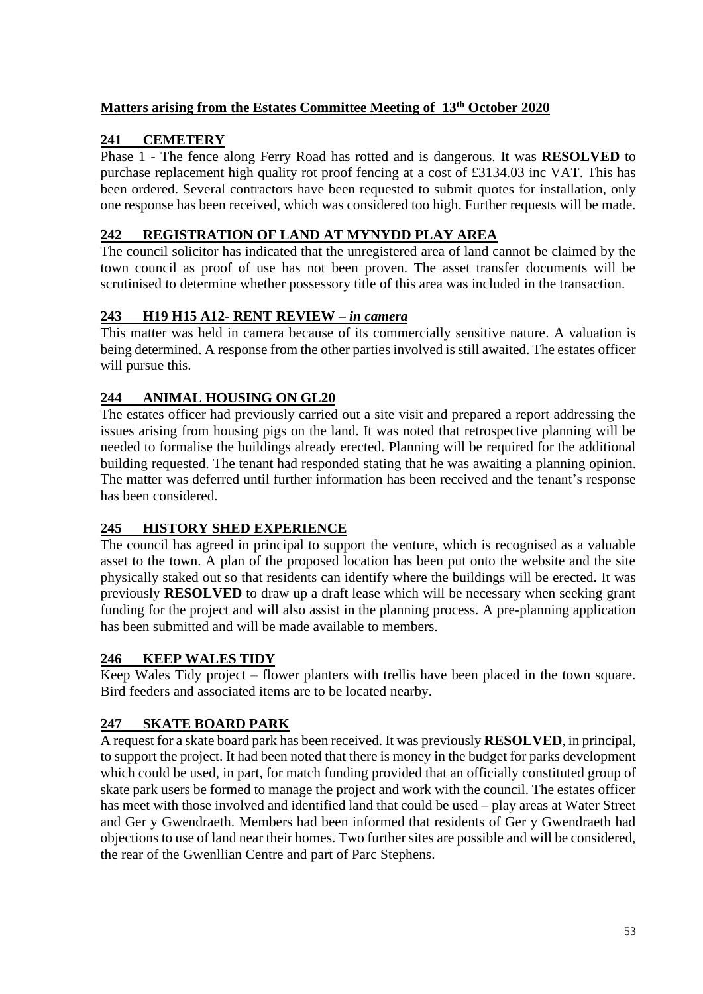## **Matters arising from the Estates Committee Meeting of 13 th October 2020**

## **241 CEMETERY**

Phase 1 - The fence along Ferry Road has rotted and is dangerous. It was **RESOLVED** to purchase replacement high quality rot proof fencing at a cost of £3134.03 inc VAT. This has been ordered. Several contractors have been requested to submit quotes for installation, only one response has been received, which was considered too high. Further requests will be made.

#### **242 REGISTRATION OF LAND AT MYNYDD PLAY AREA**

The council solicitor has indicated that the unregistered area of land cannot be claimed by the town council as proof of use has not been proven. The asset transfer documents will be scrutinised to determine whether possessory title of this area was included in the transaction.

#### **243 H19 H15 A12- RENT REVIEW** *– in camera*

This matter was held in camera because of its commercially sensitive nature. A valuation is being determined. A response from the other parties involved is still awaited. The estates officer will pursue this.

### **244 ANIMAL HOUSING ON GL20**

The estates officer had previously carried out a site visit and prepared a report addressing the issues arising from housing pigs on the land. It was noted that retrospective planning will be needed to formalise the buildings already erected. Planning will be required for the additional building requested. The tenant had responded stating that he was awaiting a planning opinion. The matter was deferred until further information has been received and the tenant's response has been considered.

### **245 HISTORY SHED EXPERIENCE**

The council has agreed in principal to support the venture, which is recognised as a valuable asset to the town. A plan of the proposed location has been put onto the website and the site physically staked out so that residents can identify where the buildings will be erected. It was previously **RESOLVED** to draw up a draft lease which will be necessary when seeking grant funding for the project and will also assist in the planning process. A pre-planning application has been submitted and will be made available to members.

### **246 KEEP WALES TIDY**

Keep Wales Tidy project – flower planters with trellis have been placed in the town square. Bird feeders and associated items are to be located nearby.

# **247 SKATE BOARD PARK**

A request for a skate board park has been received. It was previously **RESOLVED**, in principal, to support the project. It had been noted that there is money in the budget for parks development which could be used, in part, for match funding provided that an officially constituted group of skate park users be formed to manage the project and work with the council. The estates officer has meet with those involved and identified land that could be used – play areas at Water Street and Ger y Gwendraeth. Members had been informed that residents of Ger y Gwendraeth had objections to use of land near their homes. Two further sites are possible and will be considered, the rear of the Gwenllian Centre and part of Parc Stephens.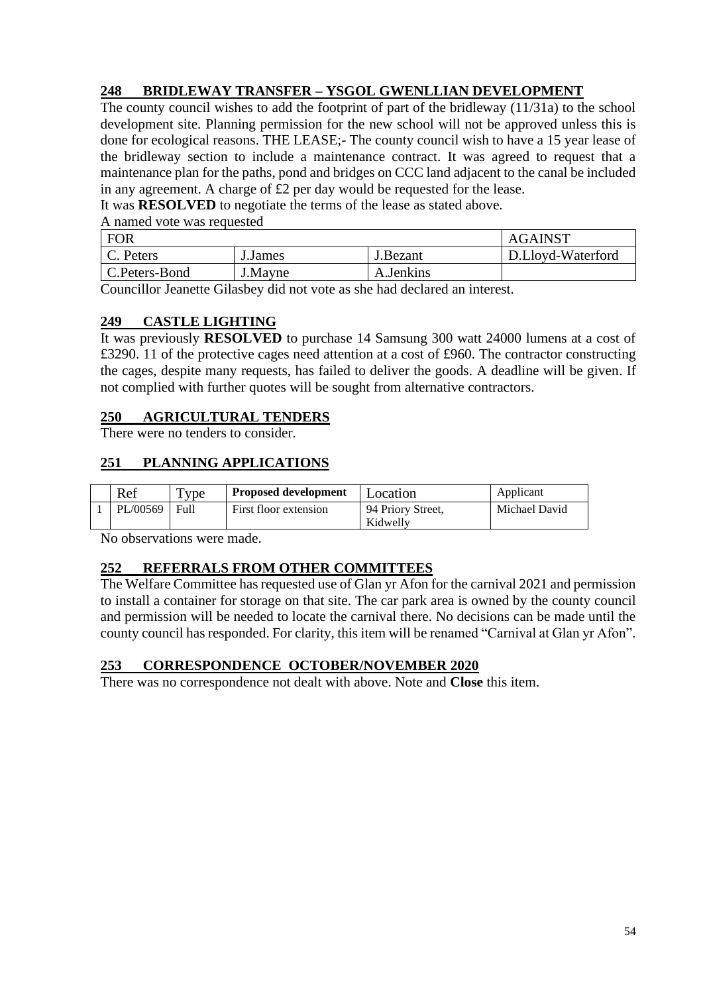## **248 BRIDLEWAY TRANSFER – YSGOL GWENLLIAN DEVELOPMENT**

The county council wishes to add the footprint of part of the bridleway (11/31a) to the school development site. Planning permission for the new school will not be approved unless this is done for ecological reasons. THE LEASE;- The county council wish to have a 15 year lease of the bridleway section to include a maintenance contract. It was agreed to request that a maintenance plan for the paths, pond and bridges on CCC land adjacent to the canal be included in any agreement. A charge of £2 per day would be requested for the lease.

It was **RESOLVED** to negotiate the terms of the lease as stated above.

A named vote was requested

| <b>FOR</b>    | <b>AGAINST</b> |                   |                   |
|---------------|----------------|-------------------|-------------------|
| C. Peters     | J.James        | J.Bezant          | D.Lloyd-Waterford |
| C.Peters-Bond | J.Mayne        | Jenkins.<br>- A., |                   |

Councillor Jeanette Gilasbey did not vote as she had declared an interest.

#### **249 CASTLE LIGHTING**

It was previously **RESOLVED** to purchase 14 Samsung 300 watt 24000 lumens at a cost of £3290. 11 of the protective cages need attention at a cost of £960. The contractor constructing the cages, despite many requests, has failed to deliver the goods. A deadline will be given. If not complied with further quotes will be sought from alternative contractors.

### **250 AGRICULTURAL TENDERS**

There were no tenders to consider.

### **251 PLANNING APPLICATIONS**

| Ref      | $TV$ pe | <b>Proposed development</b> | Location                      | Applicant     |
|----------|---------|-----------------------------|-------------------------------|---------------|
| PL/00569 | Full    | First floor extension       | 94 Priory Street,<br>Kidwelly | Michael David |

No observations were made.

### **252 REFERRALS FROM OTHER COMMITTEES**

The Welfare Committee has requested use of Glan yr Afon for the carnival 2021 and permission to install a container for storage on that site. The car park area is owned by the county council and permission will be needed to locate the carnival there. No decisions can be made until the county council has responded. For clarity, this item will be renamed "Carnival at Glan yr Afon".

#### **253 CORRESPONDENCE OCTOBER/NOVEMBER 2020**

There was no correspondence not dealt with above. Note and **Close** this item.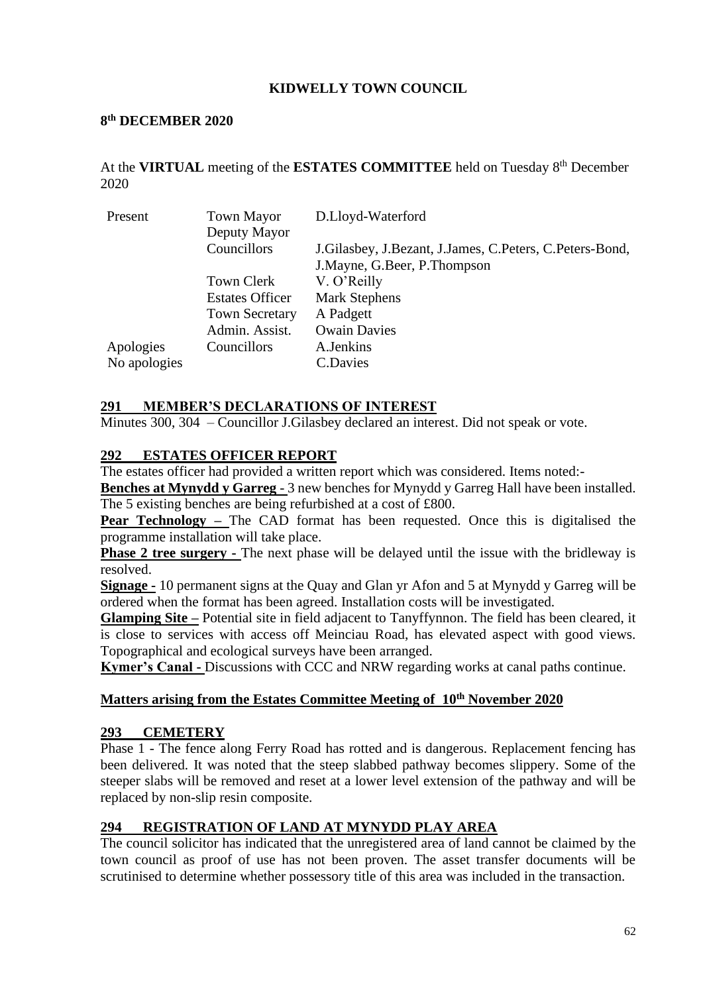#### **8 th DECEMBER 2020**

At the VIRTUAL meeting of the ESTATES COMMITTEE held on Tuesday 8<sup>th</sup> December 2020

| Present      | <b>Town Mayor</b>      | D.Lloyd-Waterford                                       |
|--------------|------------------------|---------------------------------------------------------|
|              | Deputy Mayor           |                                                         |
|              | Councillors            | J.Gilasbey, J.Bezant, J.James, C.Peters, C.Peters-Bond, |
|              |                        | J.Mayne, G.Beer, P.Thompson                             |
|              | <b>Town Clerk</b>      | V. O'Reilly                                             |
|              | <b>Estates Officer</b> | <b>Mark Stephens</b>                                    |
|              | <b>Town Secretary</b>  | A Padgett                                               |
|              | Admin. Assist.         | <b>Owain Davies</b>                                     |
| Apologies    | Councillors            | A.Jenkins                                               |
| No apologies |                        | C.Davies                                                |

#### **291 MEMBER'S DECLARATIONS OF INTEREST**

Minutes 300, 304 – Councillor J.Gilasbey declared an interest. Did not speak or vote.

#### **292 ESTATES OFFICER REPORT**

The estates officer had provided a written report which was considered. Items noted:-

**Benches at Mynydd y Garreg** - 3 new benches for Mynydd y Garreg Hall have been installed. The 5 existing benches are being refurbished at a cost of £800.

**Pear Technology –** The CAD format has been requested. Once this is digitalised the programme installation will take place.

**Phase 2 tree surgery -** The next phase will be delayed until the issue with the bridleway is resolved.

**Signage -** 10 permanent signs at the Quay and Glan yr Afon and 5 at Mynydd y Garreg will be ordered when the format has been agreed. Installation costs will be investigated.

**Glamping Site –** Potential site in field adjacent to Tanyffynnon. The field has been cleared, it is close to services with access off Meinciau Road, has elevated aspect with good views. Topographical and ecological surveys have been arranged.

**Kymer's Canal -** Discussions with CCC and NRW regarding works at canal paths continue.

#### **Matters arising from the Estates Committee Meeting of 10 th November 2020**

#### **293 CEMETERY**

Phase 1 - The fence along Ferry Road has rotted and is dangerous. Replacement fencing has been delivered. It was noted that the steep slabbed pathway becomes slippery. Some of the steeper slabs will be removed and reset at a lower level extension of the pathway and will be replaced by non-slip resin composite.

#### **294 REGISTRATION OF LAND AT MYNYDD PLAY AREA**

The council solicitor has indicated that the unregistered area of land cannot be claimed by the town council as proof of use has not been proven. The asset transfer documents will be scrutinised to determine whether possessory title of this area was included in the transaction.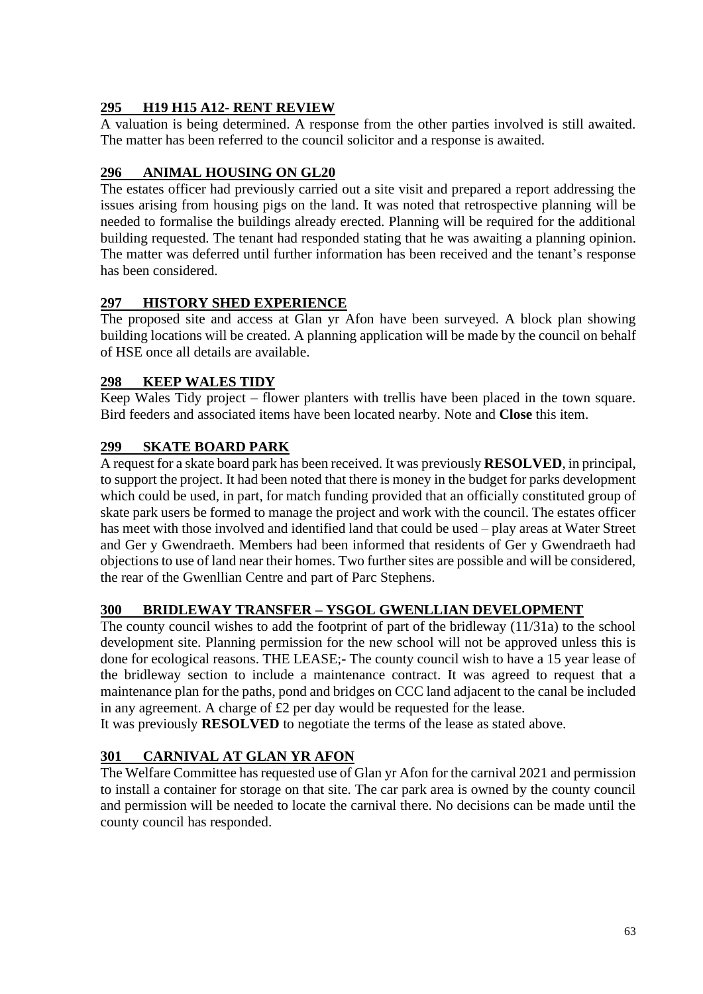#### **295 H19 H15 A12- RENT REVIEW**

A valuation is being determined. A response from the other parties involved is still awaited. The matter has been referred to the council solicitor and a response is awaited.

#### **296 ANIMAL HOUSING ON GL20**

The estates officer had previously carried out a site visit and prepared a report addressing the issues arising from housing pigs on the land. It was noted that retrospective planning will be needed to formalise the buildings already erected. Planning will be required for the additional building requested. The tenant had responded stating that he was awaiting a planning opinion. The matter was deferred until further information has been received and the tenant's response has been considered.

#### **297 HISTORY SHED EXPERIENCE**

The proposed site and access at Glan yr Afon have been surveyed. A block plan showing building locations will be created. A planning application will be made by the council on behalf of HSE once all details are available.

#### **298 KEEP WALES TIDY**

Keep Wales Tidy project – flower planters with trellis have been placed in the town square. Bird feeders and associated items have been located nearby. Note and **Close** this item.

#### **299 SKATE BOARD PARK**

A request for a skate board park has been received. It was previously **RESOLVED**, in principal, to support the project. It had been noted that there is money in the budget for parks development which could be used, in part, for match funding provided that an officially constituted group of skate park users be formed to manage the project and work with the council. The estates officer has meet with those involved and identified land that could be used – play areas at Water Street and Ger y Gwendraeth. Members had been informed that residents of Ger y Gwendraeth had objections to use of land near their homes. Two further sites are possible and will be considered, the rear of the Gwenllian Centre and part of Parc Stephens.

#### **300 BRIDLEWAY TRANSFER – YSGOL GWENLLIAN DEVELOPMENT**

The county council wishes to add the footprint of part of the bridleway (11/31a) to the school development site. Planning permission for the new school will not be approved unless this is done for ecological reasons. THE LEASE;- The county council wish to have a 15 year lease of the bridleway section to include a maintenance contract. It was agreed to request that a maintenance plan for the paths, pond and bridges on CCC land adjacent to the canal be included in any agreement. A charge of £2 per day would be requested for the lease.

It was previously **RESOLVED** to negotiate the terms of the lease as stated above.

### **301 CARNIVAL AT GLAN YR AFON**

The Welfare Committee has requested use of Glan yr Afon for the carnival 2021 and permission to install a container for storage on that site. The car park area is owned by the county council and permission will be needed to locate the carnival there. No decisions can be made until the county council has responded.